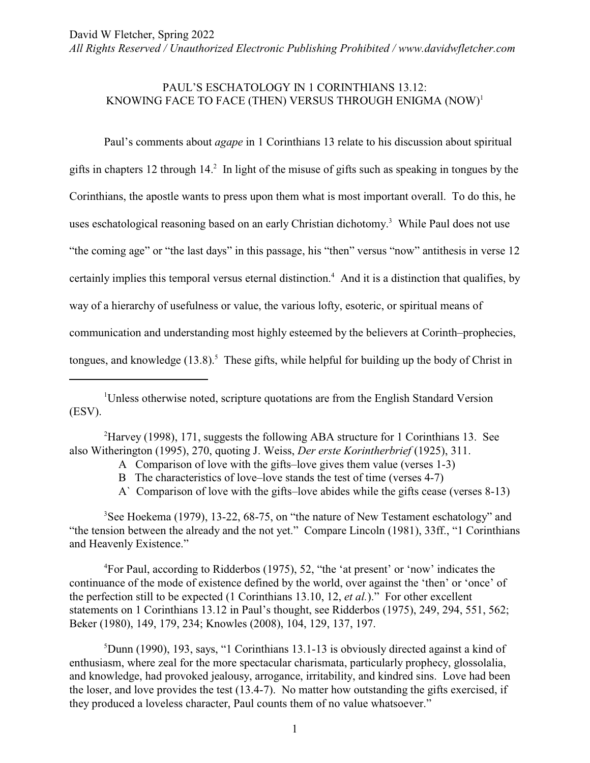### PAUL'S ESCHATOLOGY IN 1 CORINTHIANS 13.12: KNOWING FACE TO FACE (THEN) VERSUS THROUGH ENIGMA (NOW)<sup>1</sup>

Paul's comments about *agape* in 1 Corinthians 13 relate to his discussion about spiritual gifts in chapters 12 through  $14<sup>2</sup>$ . In light of the misuse of gifts such as speaking in tongues by the Corinthians, the apostle wants to press upon them what is most important overall. To do this, he uses eschatological reasoning based on an early Christian dichotomy.<sup>3</sup> While Paul does not use "the coming age" or "the last days" in this passage, his "then" versus "now" antithesis in verse 12 certainly implies this temporal versus eternal distinction.<sup>4</sup> And it is a distinction that qualifies, by way of a hierarchy of usefulness or value, the various lofty, esoteric, or spiritual means of communication and understanding most highly esteemed by the believers at Corinth–prophecies, tongues, and knowledge  $(13.8)$ .<sup>5</sup> These gifts, while helpful for building up the body of Christ in

Unless otherwise noted, scripture quotations are from the English Standard Version <sup>1</sup> (ESV).

 ${}^{2}$ Harvey (1998), 171, suggests the following ABA structure for 1 Corinthians 13. See also Witherington (1995), 270, quoting J. Weiss, *Der erste Korintherbrief* (1925), 311.

- A Comparison of love with the gifts–love gives them value (verses 1-3)
- B The characteristics of love–love stands the test of time (verses 4-7)
- A` Comparison of love with the gifts–love abides while the gifts cease (verses 8-13)

<sup>3</sup>See Hoekema (1979), 13-22, 68-75, on "the nature of New Testament eschatology" and "the tension between the already and the not yet." Compare Lincoln (1981), 33ff., "1 Corinthians and Heavenly Existence."

<sup>4</sup>For Paul, according to Ridderbos (1975), 52, "the 'at present' or 'now' indicates the continuance of the mode of existence defined by the world, over against the 'then' or 'once' of the perfection still to be expected (1 Corinthians 13.10, 12, *et al.*)." For other excellent statements on 1 Corinthians 13.12 in Paul's thought, see Ridderbos (1975), 249, 294, 551, 562; Beker (1980), 149, 179, 234; Knowles (2008), 104, 129, 137, 197.

 ${}^5$ Dunn (1990), 193, says, "1 Corinthians 13.1-13 is obviously directed against a kind of enthusiasm, where zeal for the more spectacular charismata, particularly prophecy, glossolalia, and knowledge, had provoked jealousy, arrogance, irritability, and kindred sins. Love had been the loser, and love provides the test (13.4-7). No matter how outstanding the gifts exercised, if they produced a loveless character, Paul counts them of no value whatsoever."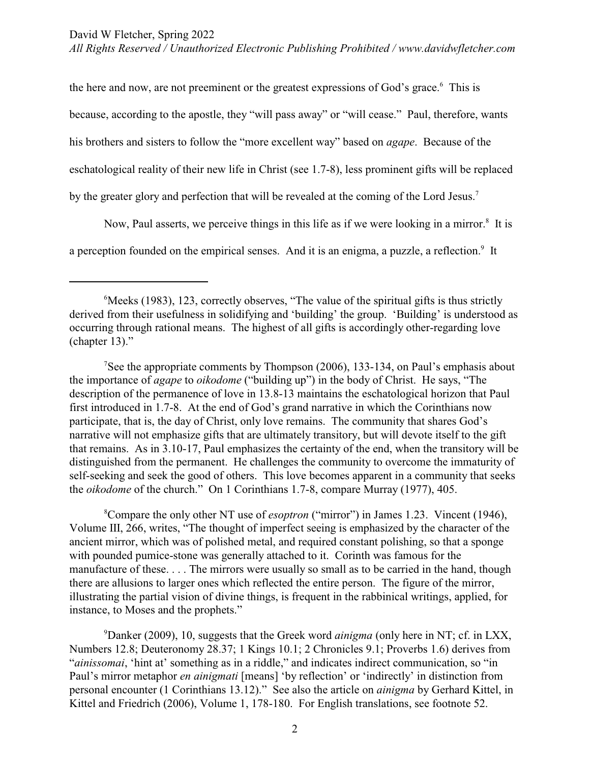the here and now, are not preeminent or the greatest expressions of God's grace.<sup>6</sup> This is because, according to the apostle, they "will pass away" or "will cease." Paul, therefore, wants his brothers and sisters to follow the "more excellent way" based on *agape*. Because of the eschatological reality of their new life in Christ (see 1.7-8), less prominent gifts will be replaced by the greater glory and perfection that will be revealed at the coming of the Lord Jesus.<sup>7</sup>

Now, Paul asserts, we perceive things in this life as if we were looking in a mirror. $\delta$  It is

a perception founded on the empirical senses. And it is an enigma, a puzzle, a reflection. $9$  It

<sup>7</sup>See the appropriate comments by Thompson  $(2006)$ , 133-134, on Paul's emphasis about the importance of *agape* to *oikodome* ("building up") in the body of Christ. He says, "The description of the permanence of love in 13.8-13 maintains the eschatological horizon that Paul first introduced in 1.7-8. At the end of God's grand narrative in which the Corinthians now participate, that is, the day of Christ, only love remains. The community that shares God's narrative will not emphasize gifts that are ultimately transitory, but will devote itself to the gift that remains. As in 3.10-17, Paul emphasizes the certainty of the end, when the transitory will be distinguished from the permanent. He challenges the community to overcome the immaturity of self-seeking and seek the good of others. This love becomes apparent in a community that seeks the *oikodome* of the church." On 1 Corinthians 1.7-8, compare Murray (1977), 405.

Compare the only other NT use of *esoptron* ("mirror") in James 1.23. Vincent (1946), <sup>8</sup> Volume III, 266, writes, "The thought of imperfect seeing is emphasized by the character of the ancient mirror, which was of polished metal, and required constant polishing, so that a sponge with pounded pumice-stone was generally attached to it. Corinth was famous for the manufacture of these. . . . The mirrors were usually so small as to be carried in the hand, though there are allusions to larger ones which reflected the entire person. The figure of the mirror, illustrating the partial vision of divine things, is frequent in the rabbinical writings, applied, for instance, to Moses and the prophets."

<sup>9</sup>Danker (2009), 10, suggests that the Greek word *ainigma* (only here in NT; cf. in LXX, Numbers 12.8; Deuteronomy 28.37; 1 Kings 10.1; 2 Chronicles 9.1; Proverbs 1.6) derives from "*ainissomai*, 'hint at' something as in a riddle," and indicates indirect communication, so "in Paul's mirror metaphor *en ainigmati* [means] 'by reflection' or 'indirectly' in distinction from personal encounter (1 Corinthians 13.12)." See also the article on *ainigma* by Gerhard Kittel, in Kittel and Friedrich (2006), Volume 1, 178-180. For English translations, see footnote 52.

 ${}^{6}$ Meeks (1983), 123, correctly observes, "The value of the spiritual gifts is thus strictly derived from their usefulness in solidifying and 'building' the group. 'Building' is understood as occurring through rational means. The highest of all gifts is accordingly other-regarding love (chapter 13)."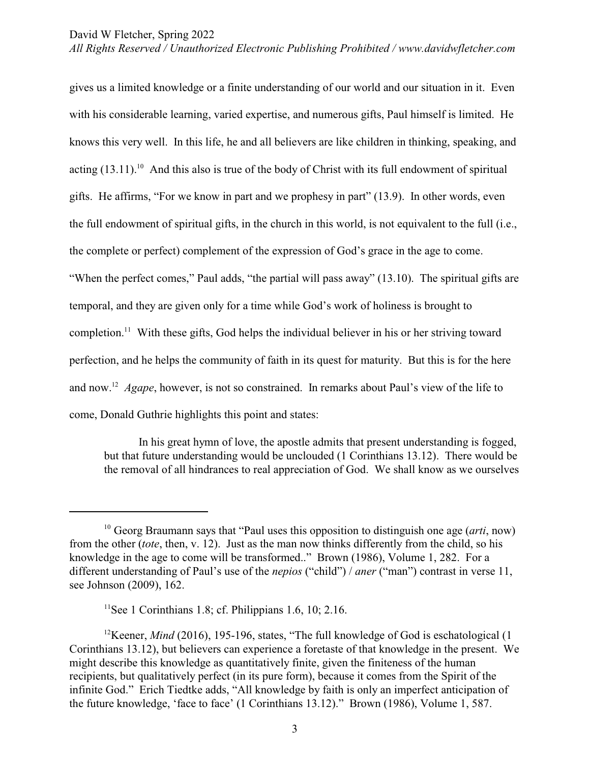#### David W Fletcher, Spring 2022 *All Rights Reserved / Unauthorized Electronic Publishing Prohibited / www.davidwfletcher.com*

gives us a limited knowledge or a finite understanding of our world and our situation in it. Even with his considerable learning, varied expertise, and numerous gifts, Paul himself is limited. He knows this very well. In this life, he and all believers are like children in thinking, speaking, and acting  $(13.11)$ .<sup>10</sup> And this also is true of the body of Christ with its full endowment of spiritual gifts. He affirms, "For we know in part and we prophesy in part" (13.9). In other words, even the full endowment of spiritual gifts, in the church in this world, is not equivalent to the full (i.e., the complete or perfect) complement of the expression of God's grace in the age to come. "When the perfect comes," Paul adds, "the partial will pass away" (13.10). The spiritual gifts are temporal, and they are given only for a time while God's work of holiness is brought to completion.<sup>11</sup> With these gifts, God helps the individual believer in his or her striving toward perfection, and he helps the community of faith in its quest for maturity. But this is for the here and now.<sup>12</sup> *Agape*, however, is not so constrained. In remarks about Paul's view of the life to come, Donald Guthrie highlights this point and states:

In his great hymn of love, the apostle admits that present understanding is fogged, but that future understanding would be unclouded (1 Corinthians 13.12). There would be the removal of all hindrances to real appreciation of God. We shall know as we ourselves

<sup>&</sup>lt;sup>10</sup> Georg Braumann says that "Paul uses this opposition to distinguish one age (*arti*, now) from the other (*tote*, then, v. 12). Just as the man now thinks differently from the child, so his knowledge in the age to come will be transformed.." Brown (1986), Volume 1, 282. For a different understanding of Paul's use of the *nepios* ("child") / *aner* ("man") contrast in verse 11, see Johnson (2009), 162.

<sup>&</sup>lt;sup>11</sup>See 1 Corinthians 1.8; cf. Philippians 1.6, 10; 2.16.

<sup>&</sup>lt;sup>12</sup> Keener, *Mind* (2016), 195-196, states, "The full knowledge of God is eschatological (1 Corinthians 13.12), but believers can experience a foretaste of that knowledge in the present. We might describe this knowledge as quantitatively finite, given the finiteness of the human recipients, but qualitatively perfect (in its pure form), because it comes from the Spirit of the infinite God." Erich Tiedtke adds, "All knowledge by faith is only an imperfect anticipation of the future knowledge, 'face to face' (1 Corinthians 13.12)." Brown (1986), Volume 1, 587.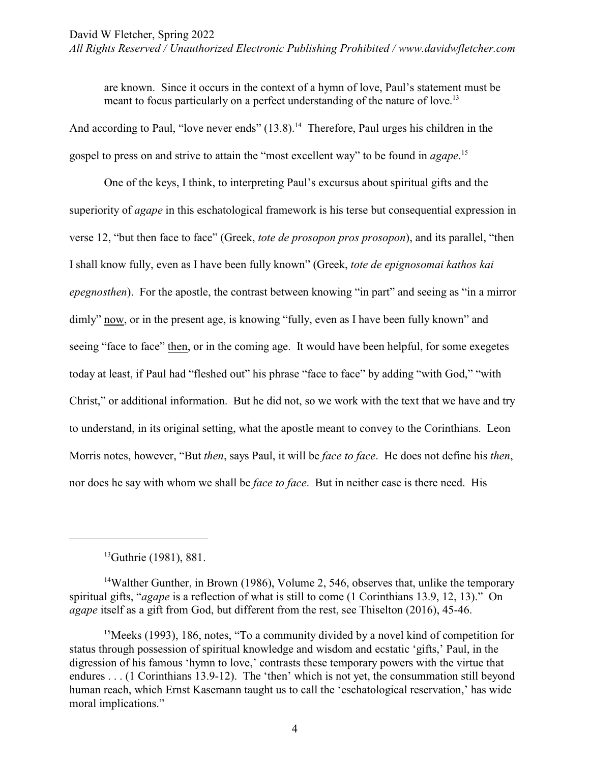are known. Since it occurs in the context of a hymn of love, Paul's statement must be meant to focus particularly on a perfect understanding of the nature of love.<sup>13</sup>

And according to Paul, "love never ends"  $(13.8)$ .<sup>14</sup> Therefore, Paul urges his children in the gospel to press on and strive to attain the "most excellent way" to be found in *agape*. 15

One of the keys, I think, to interpreting Paul's excursus about spiritual gifts and the superiority of *agape* in this eschatological framework is his terse but consequential expression in verse 12, "but then face to face" (Greek, *tote de prosopon pros prosopon*), and its parallel, "then I shall know fully, even as I have been fully known" (Greek, *tote de epignosomai kathos kai epegnosthen*). For the apostle, the contrast between knowing "in part" and seeing as "in a mirror dimly" now, or in the present age, is knowing "fully, even as I have been fully known" and seeing "face to face" then, or in the coming age. It would have been helpful, for some exegetes today at least, if Paul had "fleshed out" his phrase "face to face" by adding "with God," "with Christ," or additional information. But he did not, so we work with the text that we have and try to understand, in its original setting, what the apostle meant to convey to the Corinthians. Leon Morris notes, however, "But *then*, says Paul, it will be *face to face*. He does not define his *then*, nor does he say with whom we shall be *face to face*. But in neither case is there need. His

 $^{13}$ Guthrie (1981), 881.

<sup>14</sup>Walther Gunther, in Brown (1986), Volume 2, 546, observes that, unlike the temporary spiritual gifts, "*agape* is a reflection of what is still to come (1 Corinthians 13.9, 12, 13)." On *agape* itself as a gift from God, but different from the rest, see Thiselton (2016), 45-46.

 $15$ Meeks (1993), 186, notes, "To a community divided by a novel kind of competition for status through possession of spiritual knowledge and wisdom and ecstatic 'gifts,' Paul, in the digression of his famous 'hymn to love,' contrasts these temporary powers with the virtue that endures . . . (1 Corinthians 13.9-12). The 'then' which is not yet, the consummation still beyond human reach, which Ernst Kasemann taught us to call the 'eschatological reservation,' has wide moral implications."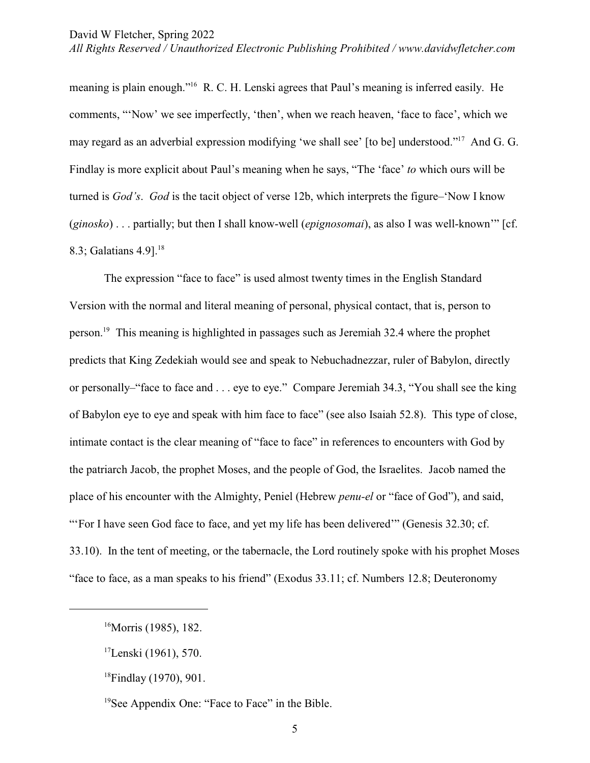meaning is plain enough."<sup>16</sup> R. C. H. Lenski agrees that Paul's meaning is inferred easily. He comments, "'Now' we see imperfectly, 'then', when we reach heaven, 'face to face', which we may regard as an adverbial expression modifying 'we shall see' [to be] understood."<sup>17</sup> And G. G. Findlay is more explicit about Paul's meaning when he says, "The 'face' *to* which ours will be turned is *God's*. *God* is the tacit object of verse 12b, which interprets the figure–'Now I know (*ginosko*) . . . partially; but then I shall know-well (*epignosomai*), as also I was well-known'" [cf. 8.3; Galatians 4.91.<sup>18</sup>

The expression "face to face" is used almost twenty times in the English Standard Version with the normal and literal meaning of personal, physical contact, that is, person to person.<sup>19</sup> This meaning is highlighted in passages such as Jeremiah 32.4 where the prophet predicts that King Zedekiah would see and speak to Nebuchadnezzar, ruler of Babylon, directly or personally–"face to face and . . . eye to eye." Compare Jeremiah 34.3, "You shall see the king of Babylon eye to eye and speak with him face to face" (see also Isaiah 52.8). This type of close, intimate contact is the clear meaning of "face to face" in references to encounters with God by the patriarch Jacob, the prophet Moses, and the people of God, the Israelites. Jacob named the place of his encounter with the Almighty, Peniel (Hebrew *penu-el* or "face of God"), and said, "'For I have seen God face to face, and yet my life has been delivered'" (Genesis 32.30; cf. 33.10). In the tent of meeting, or the tabernacle, the Lord routinely spoke with his prophet Moses "face to face, as a man speaks to his friend" (Exodus 33.11; cf. Numbers 12.8; Deuteronomy

 $16$ Morris (1985), 182.

 $17$ Lenski (1961), 570.

 $^{18}$ Findlay (1970), 901.

 $19$ See Appendix One: "Face to Face" in the Bible.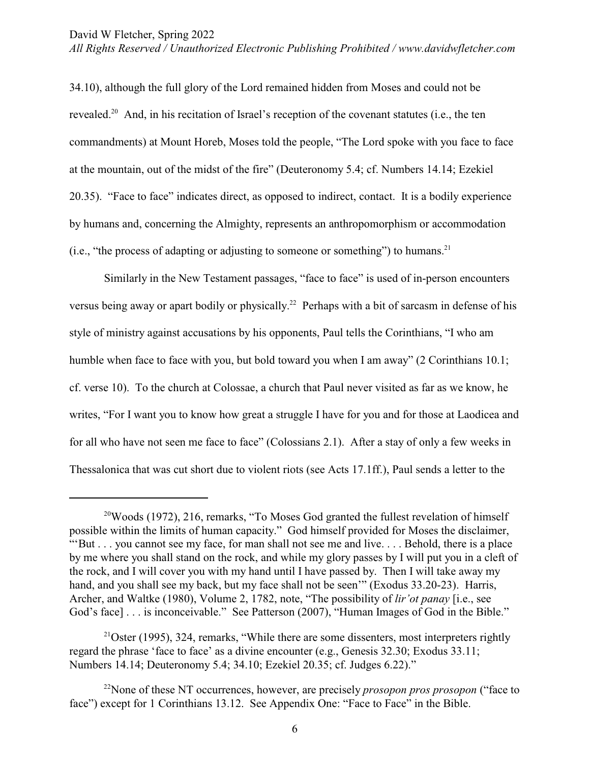34.10), although the full glory of the Lord remained hidden from Moses and could not be revealed.<sup>20</sup> And, in his recitation of Israel's reception of the covenant statutes (i.e., the ten commandments) at Mount Horeb, Moses told the people, "The Lord spoke with you face to face at the mountain, out of the midst of the fire" (Deuteronomy 5.4; cf. Numbers 14.14; Ezekiel 20.35). "Face to face" indicates direct, as opposed to indirect, contact. It is a bodily experience by humans and, concerning the Almighty, represents an anthropomorphism or accommodation (i.e., "the process of adapting or adjusting to someone or something") to humans.<sup>21</sup>

Similarly in the New Testament passages, "face to face" is used of in-person encounters versus being away or apart bodily or physically.<sup>22</sup> Perhaps with a bit of sarcasm in defense of his style of ministry against accusations by his opponents, Paul tells the Corinthians, "I who am humble when face to face with you, but bold toward you when I am away" (2 Corinthians 10.1; cf. verse 10). To the church at Colossae, a church that Paul never visited as far as we know, he writes, "For I want you to know how great a struggle I have for you and for those at Laodicea and for all who have not seen me face to face" (Colossians 2.1). After a stay of only a few weeks in Thessalonica that was cut short due to violent riots (see Acts 17.1ff.), Paul sends a letter to the

 $^{20}$ Woods (1972), 216, remarks, "To Moses God granted the fullest revelation of himself possible within the limits of human capacity." God himself provided for Moses the disclaimer, "'But . . . you cannot see my face, for man shall not see me and live. . . . Behold, there is a place by me where you shall stand on the rock, and while my glory passes by I will put you in a cleft of the rock, and I will cover you with my hand until I have passed by. Then I will take away my hand, and you shall see my back, but my face shall not be seen'" (Exodus 33.20-23). Harris, Archer, and Waltke (1980), Volume 2, 1782, note, "The possibility of *lir'ot panay* [i.e., see God's face] . . . is inconceivable." See Patterson (2007), "Human Images of God in the Bible."

 $^{21}$ Oster (1995), 324, remarks, "While there are some dissenters, most interpreters rightly regard the phrase 'face to face' as a divine encounter (e.g., Genesis 32.30; Exodus 33.11; Numbers 14.14; Deuteronomy 5.4; 34.10; Ezekiel 20.35; cf. Judges 6.22)."

<sup>&</sup>lt;sup>22</sup>None of these NT occurrences, however, are precisely *prosopon pros prosopon* ("face to face") except for 1 Corinthians 13.12. See Appendix One: "Face to Face" in the Bible.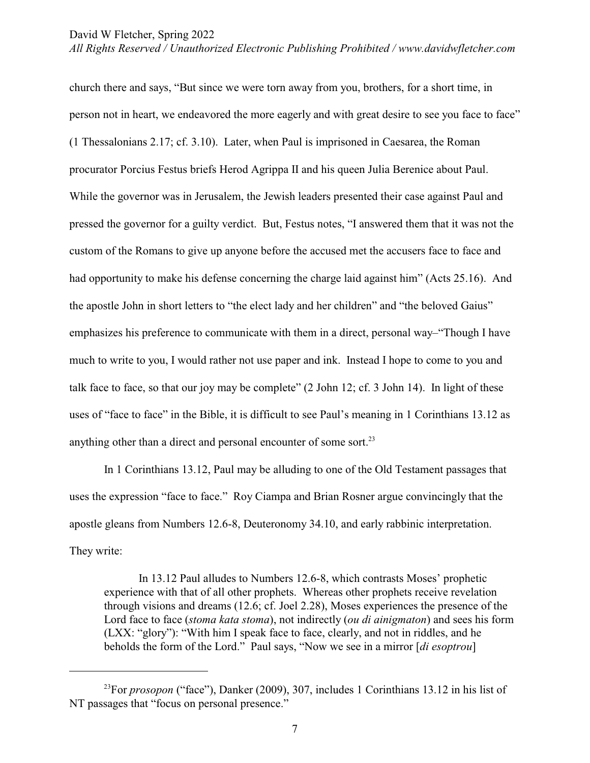church there and says, "But since we were torn away from you, brothers, for a short time, in person not in heart, we endeavored the more eagerly and with great desire to see you face to face" (1 Thessalonians 2.17; cf. 3.10). Later, when Paul is imprisoned in Caesarea, the Roman procurator Porcius Festus briefs Herod Agrippa II and his queen Julia Berenice about Paul. While the governor was in Jerusalem, the Jewish leaders presented their case against Paul and pressed the governor for a guilty verdict. But, Festus notes, "I answered them that it was not the custom of the Romans to give up anyone before the accused met the accusers face to face and had opportunity to make his defense concerning the charge laid against him" (Acts 25.16). And the apostle John in short letters to "the elect lady and her children" and "the beloved Gaius" emphasizes his preference to communicate with them in a direct, personal way–"Though I have much to write to you, I would rather not use paper and ink. Instead I hope to come to you and talk face to face, so that our joy may be complete" (2 John 12; cf. 3 John 14). In light of these uses of "face to face" in the Bible, it is difficult to see Paul's meaning in 1 Corinthians 13.12 as anything other than a direct and personal encounter of some sort.<sup>23</sup>

In 1 Corinthians 13.12, Paul may be alluding to one of the Old Testament passages that uses the expression "face to face." Roy Ciampa and Brian Rosner argue convincingly that the apostle gleans from Numbers 12.6-8, Deuteronomy 34.10, and early rabbinic interpretation. They write:

In 13.12 Paul alludes to Numbers 12.6-8, which contrasts Moses' prophetic experience with that of all other prophets. Whereas other prophets receive revelation through visions and dreams (12.6; cf. Joel 2.28), Moses experiences the presence of the Lord face to face (*stoma kata stoma*), not indirectly (*ou di ainigmaton*) and sees his form (LXX: "glory"): "With him I speak face to face, clearly, and not in riddles, and he beholds the form of the Lord." Paul says, "Now we see in a mirror [*di esoptrou*]

<sup>&</sup>lt;sup>23</sup> For *prosopon* ("face"), Danker (2009), 307, includes 1 Corinthians 13.12 in his list of NT passages that "focus on personal presence."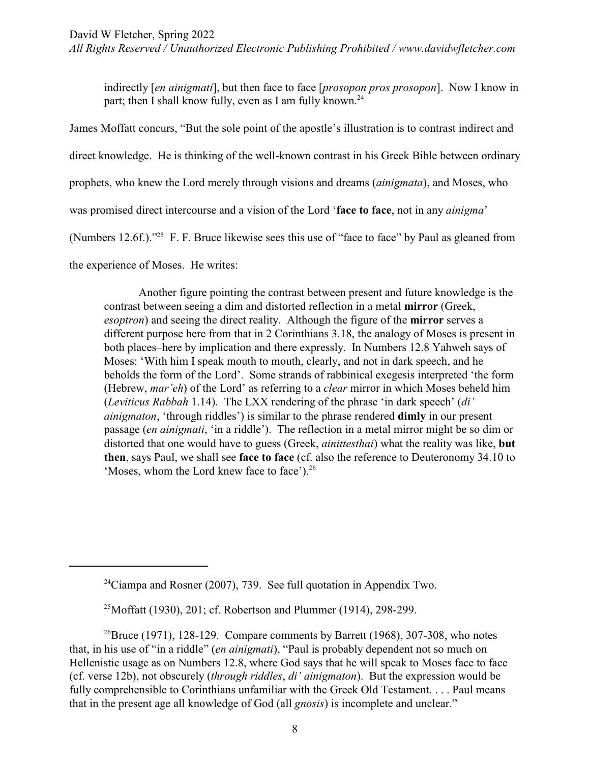indirectly [*en ainigmati*], but then face to face [*prosopon pros prosopon*]. Now I know in part; then I shall know fully, even as I am fully known.<sup>24</sup>

James Moffatt concurs, "But the sole point of the apostle's illustration is to contrast indirect and direct knowledge. He is thinking of the well-known contrast in his Greek Bible between ordinary prophets, who knew the Lord merely through visions and dreams (*ainigmata*), and Moses, who was promised direct intercourse and a vision of the Lord '**face to face**, not in any *ainigma*' (Numbers 12.6f.)."<sup>25</sup> F. F. Bruce likewise sees this use of "face to face" by Paul as gleaned from the experience of Moses. He writes:

Another figure pointing the contrast between present and future knowledge is the contrast between seeing a dim and distorted reflection in a metal **mirror** (Greek, *esoptron*) and seeing the direct reality. Although the figure of the **mirror** serves a different purpose here from that in 2 Corinthians 3.18, the analogy of Moses is present in both places–here by implication and there expressly. In Numbers 12.8 Yahweh says of Moses: 'With him I speak mouth to mouth, clearly, and not in dark speech, and he beholds the form of the Lord'. Some strands of rabbinical exegesis interpreted 'the form (Hebrew, *mar'eh*) of the Lord' as referring to a *clear* mirror in which Moses beheld him (*Leviticus Rabbah* 1.14). The LXX rendering of the phrase 'in dark speech' (*di' ainigmaton*, 'through riddles') is similar to the phrase rendered **dimly** in our present passage (*en ainigmati*, 'in a riddle'). The reflection in a metal mirror might be so dim or distorted that one would have to guess (Greek, *ainittesthai*) what the reality was like, **but then**, says Paul, we shall see **face to face** (cf. also the reference to Deuteronomy 34.10 to 'Moses, whom the Lord knew face to face').<sup>26</sup>

 $24$ Ciampa and Rosner (2007), 739. See full quotation in Appendix Two.

<sup>&</sup>lt;sup>25</sup> Moffatt (1930), 201; cf. Robertson and Plummer (1914), 298-299.

<sup>&</sup>lt;sup>26</sup>Bruce (1971), 128-129. Compare comments by Barrett (1968), 307-308, who notes that, in his use of "in a riddle" (*en ainigmati*), "Paul is probably dependent not so much on Hellenistic usage as on Numbers 12.8, where God says that he will speak to Moses face to face (cf. verse 12b), not obscurely (*through riddles*, *di' ainigmaton*). But the expression would be fully comprehensible to Corinthians unfamiliar with the Greek Old Testament. . . . Paul means that in the present age all knowledge of God (all *gnosis*) is incomplete and unclear."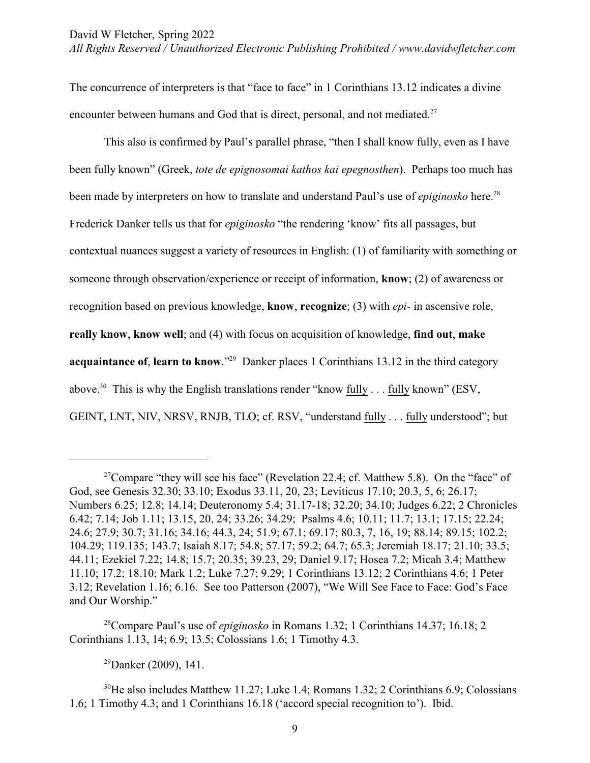#### David W Fletcher, Spring 2022 *All Rights Reserved / Unauthorized Electronic Publishing Prohibited / www.davidwfletcher.com*

The concurrence of interpreters is that "face to face" in 1 Corinthians 13.12 indicates a divine encounter between humans and God that is direct, personal, and not mediated.<sup>27</sup>

This also is confirmed by Paul's parallel phrase, "then I shall know fully, even as I have been fully known" (Greek, *tote de epignosomai kathos kai epegnosthen*). Perhaps too much has been made by interpreters on how to translate and understand Paul's use of *epiginosko* here. 28 Frederick Danker tells us that for *epiginosko* "the rendering 'know' fits all passages, but contextual nuances suggest a variety of resources in English: (1) of familiarity with something or someone through observation/experience or receipt of information, **know**; (2) of awareness or recognition based on previous knowledge, **know**, **recognize**; (3) with *epi*- in ascensive role, **really know**, **know well**; and (4) with focus on acquisition of knowledge, **find out**, **make acquaintance of, learn to know.**"<sup>29</sup> Danker places 1 Corinthians 13.12 in the third category above.<sup>30</sup> This is why the English translations render "know fully . . . fully known" (ESV, GEINT, LNT, NIV, NRSV, RNJB, TLO; cf. RSV, "understand fully . . . fully understood"; but

<sup>28</sup>Compare Paul's use of *epiginosko* in Romans 1.32; 1 Corinthians 14.37; 16.18; 2 Corinthians 1.13, 14; 6.9; 13.5; Colossians 1.6; 1 Timothy 4.3.

 $29$ Danker (2009), 141.

<sup>&</sup>lt;sup>27</sup> Compare "they will see his face" (Revelation 22.4; cf. Matthew 5.8). On the "face" of God, see Genesis 32.30; 33.10; Exodus 33.11, 20, 23; Leviticus 17.10; 20.3, 5, 6; 26.17; Numbers 6.25; 12.8; 14.14; Deuteronomy 5.4; 31.17-18; 32.20; 34.10; Judges 6.22; 2 Chronicles 6.42; 7.14; Job 1.11; 13.15, 20, 24; 33.26; 34.29; Psalms 4.6; 10.11; 11.7; 13.1; 17.15; 22.24; 24.6; 27.9; 30.7; 31.16; 34.16; 44.3, 24; 51.9; 67.1; 69.17; 80.3, 7, 16, 19; 88.14; 89.15; 102.2; 104.29; 119.135; 143.7; Isaiah 8.17; 54.8; 57.17; 59.2; 64.7; 65.3; Jeremiah 18.17; 21.10; 33.5; 44.11; Ezekiel 7.22; 14.8; 15.7; 20.35; 39.23, 29; Daniel 9.17; Hosea 7.2; Micah 3.4; Matthew 11.10; 17.2; 18.10; Mark 1.2; Luke 7.27; 9.29; 1 Corinthians 13.12; 2 Corinthians 4.6; 1 Peter 3.12; Revelation 1.16; 6.16. See too Patterson (2007), "We Will See Face to Face: God's Face and Our Worship."

 $^{30}$ He also includes Matthew 11.27; Luke 1.4; Romans 1.32; 2 Corinthians 6.9; Colossians 1.6; 1 Timothy 4.3; and 1 Corinthians 16.18 ('accord special recognition to'). Ibid.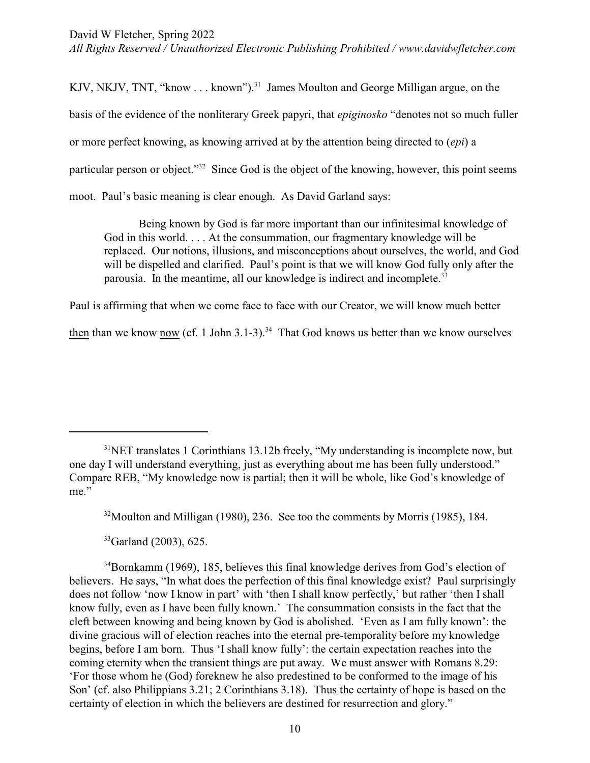David W Fletcher, Spring 2022 *All Rights Reserved / Unauthorized Electronic Publishing Prohibited / www.davidwfletcher.com*

KJV, NKJV, TNT, "know  $\ldots$  known").<sup>31</sup> James Moulton and George Milligan argue, on the basis of the evidence of the nonliterary Greek papyri, that *epiginosko* "denotes not so much fuller or more perfect knowing, as knowing arrived at by the attention being directed to (*epi*) a particular person or object." $32$  Since God is the object of the knowing, however, this point seems moot. Paul's basic meaning is clear enough. As David Garland says:

Being known by God is far more important than our infinitesimal knowledge of God in this world. . . . At the consummation, our fragmentary knowledge will be replaced. Our notions, illusions, and misconceptions about ourselves, the world, and God will be dispelled and clarified. Paul's point is that we will know God fully only after the parousia. In the meantime, all our knowledge is indirect and incomplete.<sup>33</sup>

Paul is affirming that when we come face to face with our Creator, we will know much better

then than we know now (cf. 1 John 3.1-3).<sup>34</sup> That God knows us better than we know ourselves

 $32$ Moulton and Milligan (1980), 236. See too the comments by Morris (1985), 184.

 $33$ Garland (2003), 625.

 $34$ Bornkamm (1969), 185, believes this final knowledge derives from God's election of believers. He says, "In what does the perfection of this final knowledge exist? Paul surprisingly does not follow 'now I know in part' with 'then I shall know perfectly,' but rather 'then I shall know fully, even as I have been fully known.' The consummation consists in the fact that the cleft between knowing and being known by God is abolished. 'Even as I am fully known': the divine gracious will of election reaches into the eternal pre-temporality before my knowledge begins, before I am born. Thus 'I shall know fully': the certain expectation reaches into the coming eternity when the transient things are put away. We must answer with Romans 8.29: 'For those whom he (God) foreknew he also predestined to be conformed to the image of his Son' (cf. also Philippians 3.21; 2 Corinthians 3.18). Thus the certainty of hope is based on the certainty of election in which the believers are destined for resurrection and glory."

 $31$ NET translates 1 Corinthians 13.12b freely, "My understanding is incomplete now, but one day I will understand everything, just as everything about me has been fully understood." Compare REB, "My knowledge now is partial; then it will be whole, like God's knowledge of me."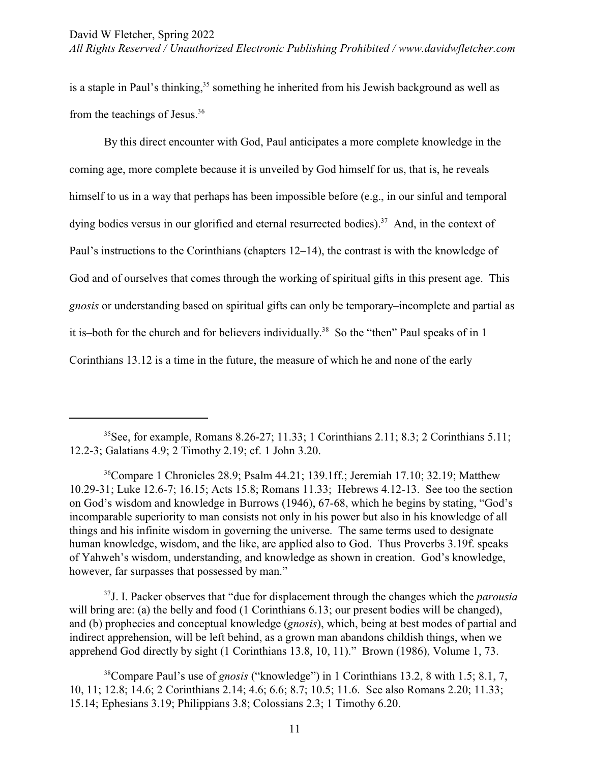### David W Fletcher, Spring 2022

*All Rights Reserved / Unauthorized Electronic Publishing Prohibited / www.davidwfletcher.com*

is a staple in Paul's thinking,  $35$  something he inherited from his Jewish background as well as from the teachings of Jesus.<sup>36</sup>

By this direct encounter with God, Paul anticipates a more complete knowledge in the coming age, more complete because it is unveiled by God himself for us, that is, he reveals himself to us in a way that perhaps has been impossible before (e.g., in our sinful and temporal dying bodies versus in our glorified and eternal resurrected bodies).<sup>37</sup> And, in the context of Paul's instructions to the Corinthians (chapters 12–14), the contrast is with the knowledge of God and of ourselves that comes through the working of spiritual gifts in this present age. This *gnosis* or understanding based on spiritual gifts can only be temporary–incomplete and partial as it is–both for the church and for believers individually.<sup>38</sup> So the "then" Paul speaks of in 1 Corinthians 13.12 is a time in the future, the measure of which he and none of the early

<sup>37</sup>J. I. Packer observes that "due for displacement through the changes which the *parousia* will bring are: (a) the belly and food (1 Corinthians 6.13; our present bodies will be changed), and (b) prophecies and conceptual knowledge (*gnosis*), which, being at best modes of partial and indirect apprehension, will be left behind, as a grown man abandons childish things, when we apprehend God directly by sight (1 Corinthians 13.8, 10, 11)." Brown (1986), Volume 1, 73.

<sup>38</sup>Compare Paul's use of *gnosis* ("knowledge") in 1 Corinthians 13.2, 8 with 1.5; 8.1, 7, 10, 11; 12.8; 14.6; 2 Corinthians 2.14; 4.6; 6.6; 8.7; 10.5; 11.6. See also Romans 2.20; 11.33; 15.14; Ephesians 3.19; Philippians 3.8; Colossians 2.3; 1 Timothy 6.20.

<sup>&</sup>lt;sup>35</sup> See, for example, Romans 8.26-27; 11.33; 1 Corinthians 2.11; 8.3; 2 Corinthians 5.11; 12.2-3; Galatians 4.9; 2 Timothy 2.19; cf. 1 John 3.20.

 $^{36}$ Compare 1 Chronicles 28.9; Psalm 44.21; 139.1ff.; Jeremiah 17.10; 32.19; Matthew 10.29-31; Luke 12.6-7; 16.15; Acts 15.8; Romans 11.33; Hebrews 4.12-13. See too the section on God's wisdom and knowledge in Burrows (1946), 67-68, which he begins by stating, "God's incomparable superiority to man consists not only in his power but also in his knowledge of all things and his infinite wisdom in governing the universe. The same terms used to designate human knowledge, wisdom, and the like, are applied also to God. Thus Proverbs 3.19f. speaks of Yahweh's wisdom, understanding, and knowledge as shown in creation. God's knowledge, however, far surpasses that possessed by man."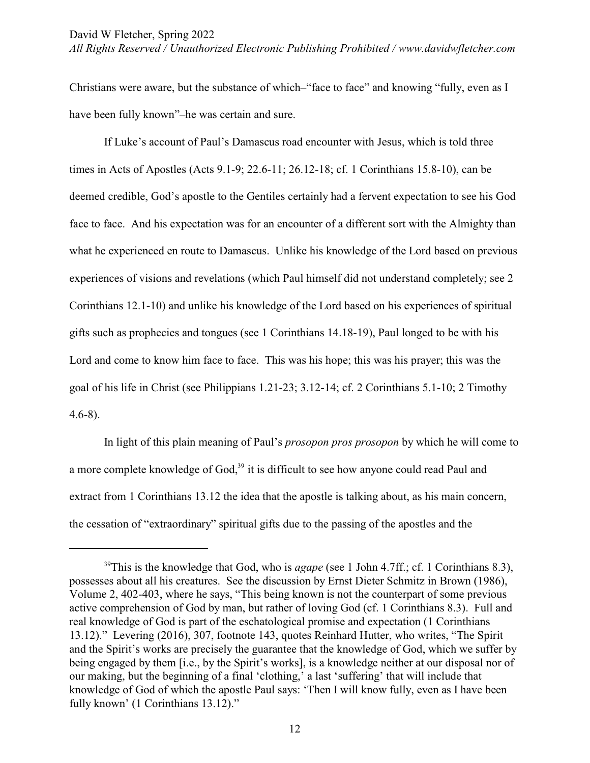#### David W Fletcher, Spring 2022

*All Rights Reserved / Unauthorized Electronic Publishing Prohibited / www.davidwfletcher.com*

Christians were aware, but the substance of which–"face to face" and knowing "fully, even as I have been fully known"–he was certain and sure.

If Luke's account of Paul's Damascus road encounter with Jesus, which is told three times in Acts of Apostles (Acts 9.1-9; 22.6-11; 26.12-18; cf. 1 Corinthians 15.8-10), can be deemed credible, God's apostle to the Gentiles certainly had a fervent expectation to see his God face to face. And his expectation was for an encounter of a different sort with the Almighty than what he experienced en route to Damascus. Unlike his knowledge of the Lord based on previous experiences of visions and revelations (which Paul himself did not understand completely; see 2 Corinthians 12.1-10) and unlike his knowledge of the Lord based on his experiences of spiritual gifts such as prophecies and tongues (see 1 Corinthians 14.18-19), Paul longed to be with his Lord and come to know him face to face. This was his hope; this was his prayer; this was the goal of his life in Christ (see Philippians 1.21-23; 3.12-14; cf. 2 Corinthians 5.1-10; 2 Timothy 4.6-8).

In light of this plain meaning of Paul's *prosopon pros prosopon* by which he will come to a more complete knowledge of God,<sup>39</sup> it is difficult to see how anyone could read Paul and extract from 1 Corinthians 13.12 the idea that the apostle is talking about, as his main concern, the cessation of "extraordinary" spiritual gifts due to the passing of the apostles and the

<sup>&</sup>lt;sup>39</sup>This is the knowledge that God, who is *agape* (see 1 John 4.7ff.; cf. 1 Corinthians 8.3), possesses about all his creatures. See the discussion by Ernst Dieter Schmitz in Brown (1986), Volume 2, 402-403, where he says, "This being known is not the counterpart of some previous active comprehension of God by man, but rather of loving God (cf. 1 Corinthians 8.3). Full and real knowledge of God is part of the eschatological promise and expectation (1 Corinthians 13.12)." Levering (2016), 307, footnote 143, quotes Reinhard Hutter, who writes, "The Spirit and the Spirit's works are precisely the guarantee that the knowledge of God, which we suffer by being engaged by them [i.e., by the Spirit's works], is a knowledge neither at our disposal nor of our making, but the beginning of a final 'clothing,' a last 'suffering' that will include that knowledge of God of which the apostle Paul says: 'Then I will know fully, even as I have been fully known' (1 Corinthians 13.12)."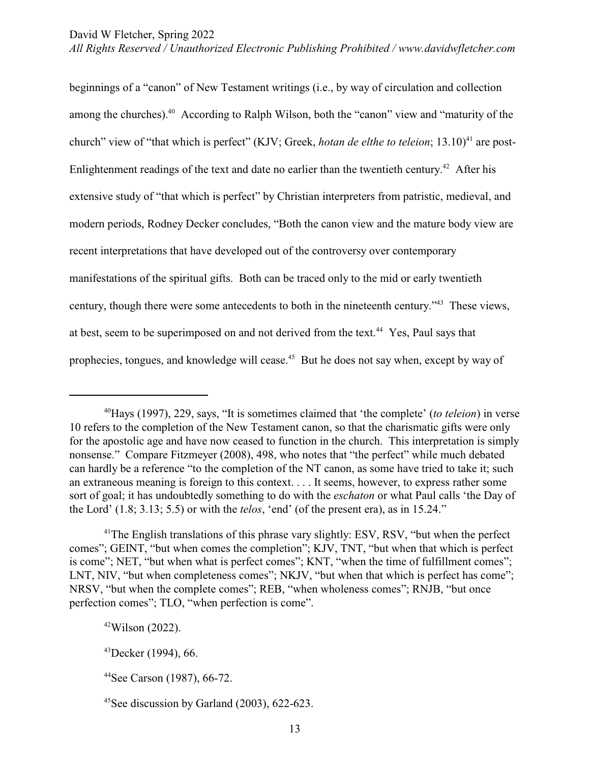beginnings of a "canon" of New Testament writings (i.e., by way of circulation and collection among the churches). <sup>40</sup> According to Ralph Wilson, both the "canon" view and "maturity of the church" view of "that which is perfect" (KJV; Greek, *hotan de elthe to teleion*; 13.10)<sup>41</sup> are post-Enlightenment readings of the text and date no earlier than the twentieth century.<sup>42</sup> After his extensive study of "that which is perfect" by Christian interpreters from patristic, medieval, and modern periods, Rodney Decker concludes, "Both the canon view and the mature body view are recent interpretations that have developed out of the controversy over contemporary manifestations of the spiritual gifts. Both can be traced only to the mid or early twentieth century, though there were some antecedents to both in the nineteenth century."<sup>43</sup> These views, at best, seem to be superimposed on and not derived from the text.<sup>44</sup> Yes, Paul says that prophecies, tongues, and knowledge will cease.<sup>45</sup> But he does not say when, except by way of

<sup>&</sup>lt;sup>40</sup>Hays (1997), 229, says, "It is sometimes claimed that 'the complete' (*to teleion*) in verse 10 refers to the completion of the New Testament canon, so that the charismatic gifts were only for the apostolic age and have now ceased to function in the church. This interpretation is simply nonsense." Compare Fitzmeyer (2008), 498, who notes that "the perfect" while much debated can hardly be a reference "to the completion of the NT canon, as some have tried to take it; such an extraneous meaning is foreign to this context. . . . It seems, however, to express rather some sort of goal; it has undoubtedly something to do with the *eschaton* or what Paul calls 'the Day of the Lord' (1.8; 3.13; 5.5) or with the *telos*, 'end' (of the present era), as in 15.24."

<sup>&</sup>lt;sup>41</sup>The English translations of this phrase vary slightly: ESV, RSV, "but when the perfect comes"; GEINT, "but when comes the completion"; KJV, TNT, "but when that which is perfect is come"; NET, "but when what is perfect comes"; KNT, "when the time of fulfillment comes"; LNT, NIV, "but when completeness comes"; NKJV, "but when that which is perfect has come"; NRSV, "but when the complete comes"; REB, "when wholeness comes"; RNJB, "but once perfection comes"; TLO, "when perfection is come".

 $42$ Wilson (2022).

 $^{43}$ Decker (1994), 66.

<sup>&</sup>lt;sup>44</sup>See Carson (1987), 66-72.

<sup>&</sup>lt;sup>45</sup>See discussion by Garland  $(2003)$ , 622-623.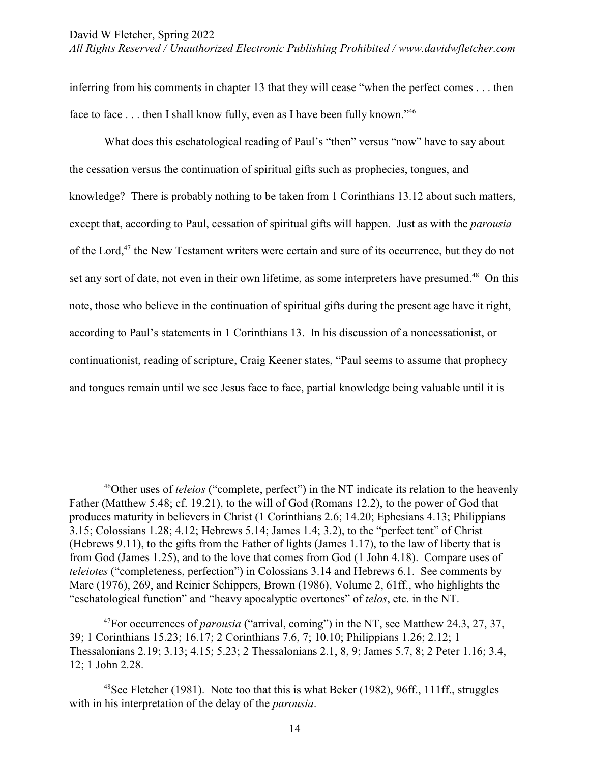#### David W Fletcher, Spring 2022 *All Rights Reserved / Unauthorized Electronic Publishing Prohibited / www.davidwfletcher.com*

inferring from his comments in chapter 13 that they will cease "when the perfect comes . . . then face to face . . . then I shall know fully, even as I have been fully known."<sup>46</sup>

What does this eschatological reading of Paul's "then" versus "now" have to say about the cessation versus the continuation of spiritual gifts such as prophecies, tongues, and knowledge? There is probably nothing to be taken from 1 Corinthians 13.12 about such matters, except that, according to Paul, cessation of spiritual gifts will happen. Just as with the *parousia* of the Lord,<sup>47</sup> the New Testament writers were certain and sure of its occurrence, but they do not set any sort of date, not even in their own lifetime, as some interpreters have presumed.<sup>48</sup> On this note, those who believe in the continuation of spiritual gifts during the present age have it right, according to Paul's statements in 1 Corinthians 13. In his discussion of a noncessationist, or continuationist, reading of scripture, Craig Keener states, "Paul seems to assume that prophecy and tongues remain until we see Jesus face to face, partial knowledge being valuable until it is

<sup>&</sup>lt;sup>46</sup>Other uses of *teleios* ("complete, perfect") in the NT indicate its relation to the heavenly Father (Matthew 5.48; cf. 19.21), to the will of God (Romans 12.2), to the power of God that produces maturity in believers in Christ (1 Corinthians 2.6; 14.20; Ephesians 4.13; Philippians 3.15; Colossians 1.28; 4.12; Hebrews 5.14; James 1.4; 3.2), to the "perfect tent" of Christ (Hebrews 9.11), to the gifts from the Father of lights (James 1.17), to the law of liberty that is from God (James 1.25), and to the love that comes from God (1 John 4.18). Compare uses of *teleiotes* ("completeness, perfection") in Colossians 3.14 and Hebrews 6.1. See comments by Mare (1976), 269, and Reinier Schippers, Brown (1986), Volume 2, 61ff., who highlights the "eschatological function" and "heavy apocalyptic overtones" of *telos*, etc. in the NT.

<sup>&</sup>lt;sup>47</sup>For occurrences of *parousia* ("arrival, coming") in the NT, see Matthew 24.3, 27, 37, 39; 1 Corinthians 15.23; 16.17; 2 Corinthians 7.6, 7; 10.10; Philippians 1.26; 2.12; 1 Thessalonians 2.19; 3.13; 4.15; 5.23; 2 Thessalonians 2.1, 8, 9; James 5.7, 8; 2 Peter 1.16; 3.4, 12; 1 John 2.28.

<sup>&</sup>lt;sup>48</sup> See Fletcher (1981). Note too that this is what Beker (1982), 96ff., 111ff., struggles with in his interpretation of the delay of the *parousia*.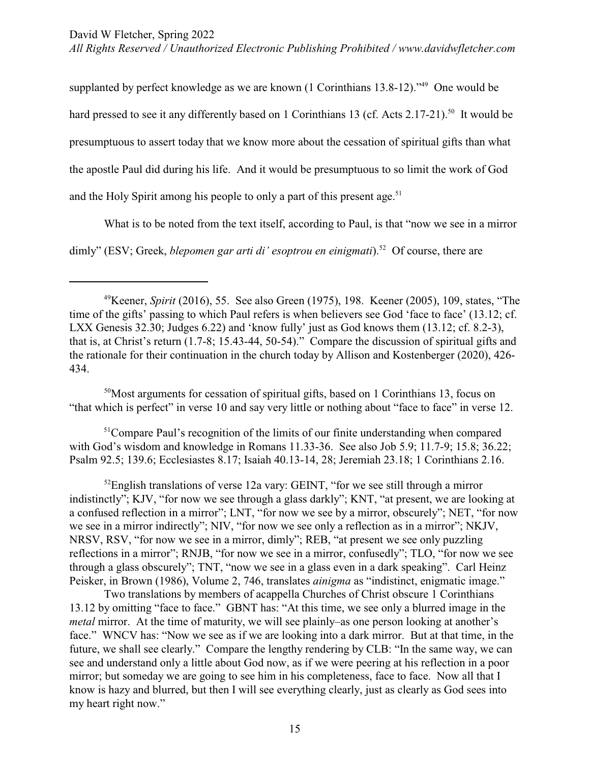supplanted by perfect knowledge as we are known  $(1$  Corinthians 13.8-12).<sup> $49$ </sup> One would be hard pressed to see it any differently based on 1 Corinthians 13 (cf. Acts 2.17-21).<sup>50</sup> It would be presumptuous to assert today that we know more about the cessation of spiritual gifts than what the apostle Paul did during his life. And it would be presumptuous to so limit the work of God and the Holy Spirit among his people to only a part of this present age.<sup>51</sup>

What is to be noted from the text itself, according to Paul, is that "now we see in a mirror

dimly" (ESV; Greek, *blepomen gar arti di' esoptrou en einigmati*).<sup>52</sup> Of course, there are

 $50$ Most arguments for cessation of spiritual gifts, based on 1 Corinthians 13, focus on "that which is perfect" in verse 10 and say very little or nothing about "face to face" in verse 12.

<sup>51</sup>Compare Paul's recognition of the limits of our finite understanding when compared with God's wisdom and knowledge in Romans 11.33-36. See also Job 5.9; 11.7-9; 15.8; 36.22; Psalm 92.5; 139.6; Ecclesiastes 8.17; Isaiah 40.13-14, 28; Jeremiah 23.18; 1 Corinthians 2.16.

 ${}^{52}$ English translations of verse 12a vary: GEINT, "for we see still through a mirror indistinctly"; KJV, "for now we see through a glass darkly"; KNT, "at present, we are looking at a confused reflection in a mirror"; LNT, "for now we see by a mirror, obscurely"; NET, "for now we see in a mirror indirectly"; NIV, "for now we see only a reflection as in a mirror"; NKJV, NRSV, RSV, "for now we see in a mirror, dimly"; REB, "at present we see only puzzling reflections in a mirror"; RNJB, "for now we see in a mirror, confusedly"; TLO, "for now we see through a glass obscurely"; TNT, "now we see in a glass even in a dark speaking". Carl Heinz Peisker, in Brown (1986), Volume 2, 746, translates *ainigma* as "indistinct, enigmatic image."

Two translations by members of acappella Churches of Christ obscure 1 Corinthians 13.12 by omitting "face to face." GBNT has: "At this time, we see only a blurred image in the *metal* mirror. At the time of maturity, we will see plainly–as one person looking at another's face." WNCV has: "Now we see as if we are looking into a dark mirror. But at that time, in the future, we shall see clearly." Compare the lengthy rendering by CLB: "In the same way, we can see and understand only a little about God now, as if we were peering at his reflection in a poor mirror; but someday we are going to see him in his completeness, face to face. Now all that I know is hazy and blurred, but then I will see everything clearly, just as clearly as God sees into my heart right now."

<sup>&</sup>lt;sup>49</sup> Keener, *Spirit* (2016), 55. See also Green (1975), 198. Keener (2005), 109, states, "The time of the gifts' passing to which Paul refers is when believers see God 'face to face' (13.12; cf. LXX Genesis 32.30; Judges 6.22) and 'know fully' just as God knows them (13.12; cf. 8.2-3), that is, at Christ's return (1.7-8; 15.43-44, 50-54)." Compare the discussion of spiritual gifts and the rationale for their continuation in the church today by Allison and Kostenberger (2020), 426- 434.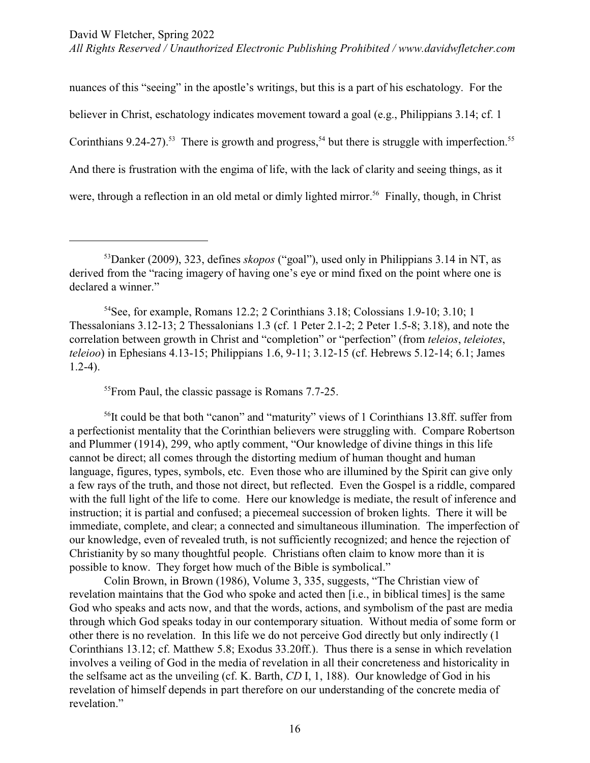nuances of this "seeing" in the apostle's writings, but this is a part of his eschatology. For the believer in Christ, eschatology indicates movement toward a goal (e.g., Philippians 3.14; cf. 1 Corinthians 9.24-27).<sup>53</sup> There is growth and progress,<sup>54</sup> but there is struggle with imperfection.<sup>55</sup> And there is frustration with the engima of life, with the lack of clarity and seeing things, as it were, through a reflection in an old metal or dimly lighted mirror.<sup>56</sup> Finally, though, in Christ

 $<sup>55</sup>$  From Paul, the classic passage is Romans 7.7-25.</sup>

 $<sup>56</sup>$ It could be that both "canon" and "maturity" views of 1 Corinthians 13.8ff. suffer from</sup> a perfectionist mentality that the Corinthian believers were struggling with. Compare Robertson and Plummer (1914), 299, who aptly comment, "Our knowledge of divine things in this life cannot be direct; all comes through the distorting medium of human thought and human language, figures, types, symbols, etc. Even those who are illumined by the Spirit can give only a few rays of the truth, and those not direct, but reflected. Even the Gospel is a riddle, compared with the full light of the life to come. Here our knowledge is mediate, the result of inference and instruction; it is partial and confused; a piecemeal succession of broken lights. There it will be immediate, complete, and clear; a connected and simultaneous illumination. The imperfection of our knowledge, even of revealed truth, is not sufficiently recognized; and hence the rejection of Christianity by so many thoughtful people. Christians often claim to know more than it is possible to know. They forget how much of the Bible is symbolical."

Colin Brown, in Brown (1986), Volume 3, 335, suggests, "The Christian view of revelation maintains that the God who spoke and acted then [i.e., in biblical times] is the same God who speaks and acts now, and that the words, actions, and symbolism of the past are media through which God speaks today in our contemporary situation. Without media of some form or other there is no revelation. In this life we do not perceive God directly but only indirectly (1 Corinthians 13.12; cf. Matthew 5.8; Exodus 33.20ff.). Thus there is a sense in which revelation involves a veiling of God in the media of revelation in all their concreteness and historicality in the selfsame act as the unveiling (cf. K. Barth, *CD* I, 1, 188). Our knowledge of God in his revelation of himself depends in part therefore on our understanding of the concrete media of revelation."

<sup>&</sup>lt;sup>53</sup>Danker (2009), 323, defines *skopos* ("goal"), used only in Philippians 3.14 in NT, as derived from the "racing imagery of having one's eye or mind fixed on the point where one is declared a winner."

 $54$ See, for example, Romans 12.2; 2 Corinthians 3.18; Colossians 1.9-10; 3.10; 1 Thessalonians 3.12-13; 2 Thessalonians 1.3 (cf. 1 Peter 2.1-2; 2 Peter 1.5-8; 3.18), and note the correlation between growth in Christ and "completion" or "perfection" (from *teleios*, *teleiotes*, *teleioo*) in Ephesians 4.13-15; Philippians 1.6, 9-11; 3.12-15 (cf. Hebrews 5.12-14; 6.1; James 1.2-4).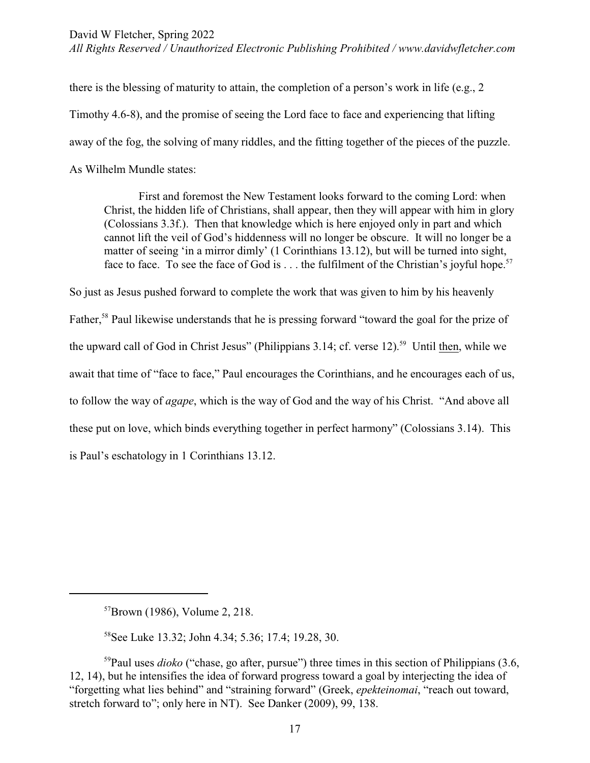David W Fletcher, Spring 2022 *All Rights Reserved / Unauthorized Electronic Publishing Prohibited / www.davidwfletcher.com*

there is the blessing of maturity to attain, the completion of a person's work in life (e.g., 2) Timothy 4.6-8), and the promise of seeing the Lord face to face and experiencing that lifting away of the fog, the solving of many riddles, and the fitting together of the pieces of the puzzle. As Wilhelm Mundle states:

First and foremost the New Testament looks forward to the coming Lord: when Christ, the hidden life of Christians, shall appear, then they will appear with him in glory (Colossians 3.3f.). Then that knowledge which is here enjoyed only in part and which cannot lift the veil of God's hiddenness will no longer be obscure. It will no longer be a matter of seeing 'in a mirror dimly' (1 Corinthians 13.12), but will be turned into sight, face to face. To see the face of God is  $\dots$  the fulfilment of the Christian's joyful hope.<sup>57</sup>

So just as Jesus pushed forward to complete the work that was given to him by his heavenly Father,<sup>58</sup> Paul likewise understands that he is pressing forward "toward the goal for the prize of the upward call of God in Christ Jesus" (Philippians 3.14; cf. verse 12).<sup>59</sup> Until then, while we await that time of "face to face," Paul encourages the Corinthians, and he encourages each of us, to follow the way of *agape*, which is the way of God and the way of his Christ. "And above all these put on love, which binds everything together in perfect harmony" (Colossians 3.14). This is Paul's eschatology in 1 Corinthians 13.12.

<sup>&</sup>lt;sup>57</sup>Brown (1986), Volume 2, 218.

<sup>&</sup>lt;sup>58</sup>See Luke 13.32; John 4.34; 5.36; 17.4; 19.28, 30.

<sup>&</sup>lt;sup>59</sup>Paul uses *dioko* ("chase, go after, pursue") three times in this section of Philippians (3.6, 12, 14), but he intensifies the idea of forward progress toward a goal by interjecting the idea of "forgetting what lies behind" and "straining forward" (Greek, *epekteinomai*, "reach out toward, stretch forward to"; only here in NT). See Danker (2009), 99, 138.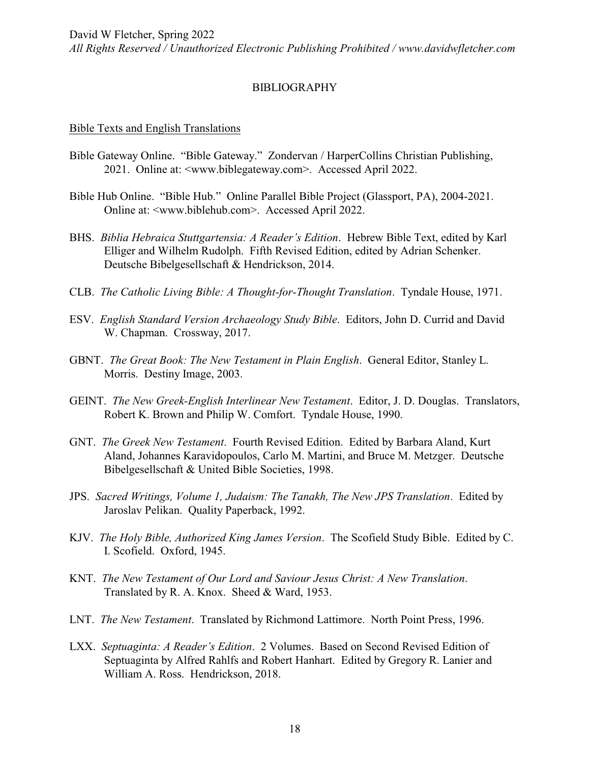## BIBLIOGRAPHY

#### Bible Texts and English Translations

- Bible Gateway Online. "Bible Gateway." Zondervan / HarperCollins Christian Publishing, 2021. Online at: <www.biblegateway.com>. Accessed April 2022.
- Bible Hub Online. "Bible Hub." Online Parallel Bible Project (Glassport, PA), 2004-2021. Online at: <www.biblehub.com>. Accessed April 2022.
- BHS. *Biblia Hebraica Stuttgartensia: A Reader's Edition*. Hebrew Bible Text, edited by Karl Elliger and Wilhelm Rudolph. Fifth Revised Edition, edited by Adrian Schenker. Deutsche Bibelgesellschaft & Hendrickson, 2014.
- CLB. *The Catholic Living Bible: A Thought-for-Thought Translation*. Tyndale House, 1971.
- ESV. *English Standard Version Archaeology Study Bible*. Editors, John D. Currid and David W. Chapman. Crossway, 2017.
- GBNT. *The Great Book: The New Testament in Plain English*. General Editor, Stanley L. Morris. Destiny Image, 2003.
- GEINT. *The New Greek-English Interlinear New Testament*. Editor, J. D. Douglas. Translators, Robert K. Brown and Philip W. Comfort. Tyndale House, 1990.
- GNT. *The Greek New Testament*. Fourth Revised Edition. Edited by Barbara Aland, Kurt Aland, Johannes Karavidopoulos, Carlo M. Martini, and Bruce M. Metzger. Deutsche Bibelgesellschaft & United Bible Societies, 1998.
- JPS. *Sacred Writings, Volume 1, Judaism: The Tanakh, The New JPS Translation*. Edited by Jaroslav Pelikan. Quality Paperback, 1992.
- KJV. *The Holy Bible, Authorized King James Version*. The Scofield Study Bible. Edited by C. I. Scofield. Oxford, 1945.
- KNT. *The New Testament of Our Lord and Saviour Jesus Christ: A New Translation*. Translated by R. A. Knox. Sheed & Ward, 1953.
- LNT. *The New Testament*. Translated by Richmond Lattimore. North Point Press, 1996.
- LXX. *Septuaginta: A Reader's Edition*. 2 Volumes. Based on Second Revised Edition of Septuaginta by Alfred Rahlfs and Robert Hanhart. Edited by Gregory R. Lanier and William A. Ross. Hendrickson, 2018.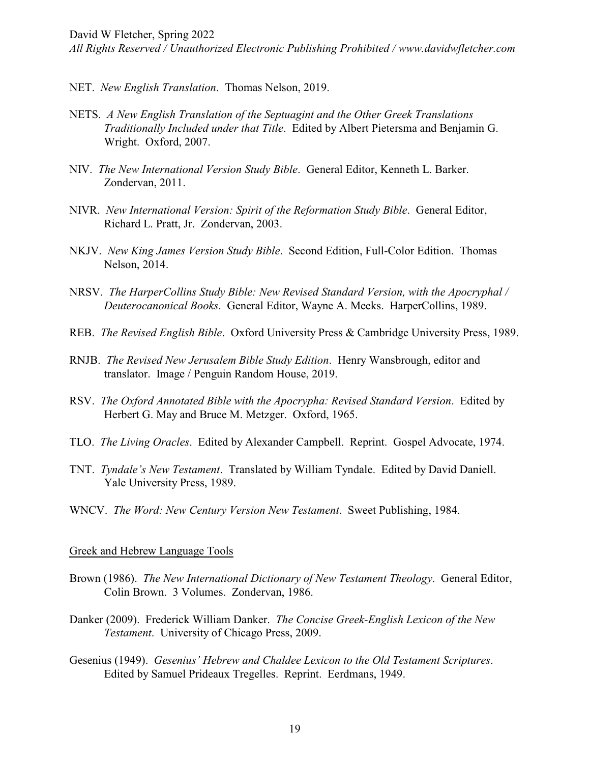- NET. *New English Translation*. Thomas Nelson, 2019.
- NETS. *A New English Translation of the Septuagint and the Other Greek Translations Traditionally Included under that Title*. Edited by Albert Pietersma and Benjamin G. Wright. Oxford, 2007.
- NIV. *The New International Version Study Bible*. General Editor, Kenneth L. Barker. Zondervan, 2011.
- NIVR. *New International Version: Spirit of the Reformation Study Bible*. General Editor, Richard L. Pratt, Jr. Zondervan, 2003.
- NKJV. *New King James Version Study Bible*. Second Edition, Full-Color Edition. Thomas Nelson, 2014.
- NRSV. *The HarperCollins Study Bible: New Revised Standard Version, with the Apocryphal / Deuterocanonical Books*. General Editor, Wayne A. Meeks. HarperCollins, 1989.
- REB. *The Revised English Bible*. Oxford University Press & Cambridge University Press, 1989.
- RNJB. *The Revised New Jerusalem Bible Study Edition*. Henry Wansbrough, editor and translator. Image / Penguin Random House, 2019.
- RSV. *The Oxford Annotated Bible with the Apocrypha: Revised Standard Version*. Edited by Herbert G. May and Bruce M. Metzger. Oxford, 1965.
- TLO. *The Living Oracles*. Edited by Alexander Campbell. Reprint. Gospel Advocate, 1974.
- TNT. *Tyndale's New Testament*. Translated by William Tyndale. Edited by David Daniell. Yale University Press, 1989.
- WNCV. *The Word: New Century Version New Testament*. Sweet Publishing, 1984.

#### Greek and Hebrew Language Tools

- Brown (1986). *The New International Dictionary of New Testament Theology*. General Editor, Colin Brown. 3 Volumes. Zondervan, 1986.
- Danker (2009). Frederick William Danker. *The Concise Greek-English Lexicon of the New Testament*. University of Chicago Press, 2009.
- Gesenius (1949). *Gesenius' Hebrew and Chaldee Lexicon to the Old Testament Scriptures*. Edited by Samuel Prideaux Tregelles. Reprint. Eerdmans, 1949.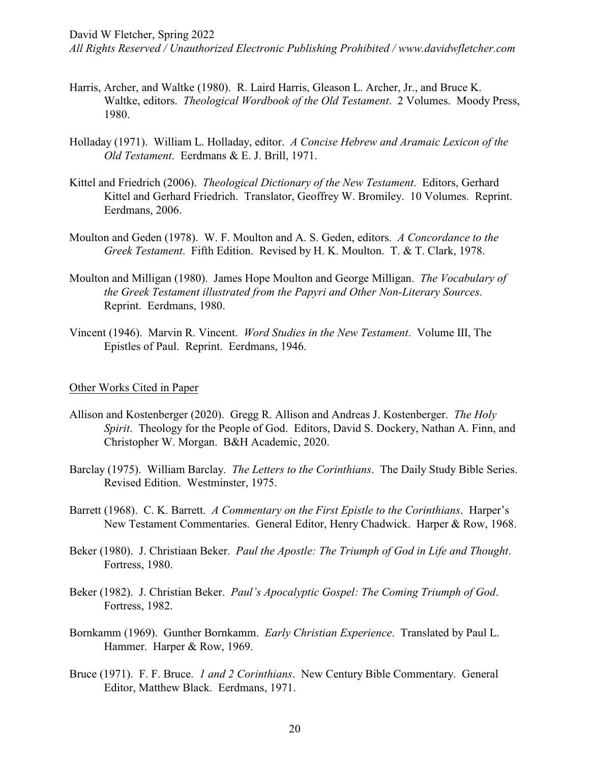- Harris, Archer, and Waltke (1980). R. Laird Harris, Gleason L. Archer, Jr., and Bruce K. Waltke, editors. *Theological Wordbook of the Old Testament*. 2 Volumes. Moody Press, 1980.
- Holladay (1971). William L. Holladay, editor. *A Concise Hebrew and Aramaic Lexicon of the Old Testament*. Eerdmans & E. J. Brill, 1971.
- Kittel and Friedrich (2006). *Theological Dictionary of the New Testament*. Editors, Gerhard Kittel and Gerhard Friedrich. Translator, Geoffrey W. Bromiley. 10 Volumes. Reprint. Eerdmans, 2006.
- Moulton and Geden (1978). W. F. Moulton and A. S. Geden, editors. *A Concordance to the Greek Testament*. Fifth Edition. Revised by H. K. Moulton. T. & T. Clark, 1978.
- Moulton and Milligan (1980). James Hope Moulton and George Milligan. *The Vocabulary of the Greek Testament illustrated from the Papyri and Other Non-Literary Sources*. Reprint. Eerdmans, 1980.
- Vincent (1946). Marvin R. Vincent. *Word Studies in the New Testament*. Volume III, The Epistles of Paul. Reprint. Eerdmans, 1946.

#### Other Works Cited in Paper

- Allison and Kostenberger (2020). Gregg R. Allison and Andreas J. Kostenberger. *The Holy Spirit*. Theology for the People of God. Editors, David S. Dockery, Nathan A. Finn, and Christopher W. Morgan. B&H Academic, 2020.
- Barclay (1975). William Barclay. *The Letters to the Corinthians*. The Daily Study Bible Series. Revised Edition. Westminster, 1975.
- Barrett (1968). C. K. Barrett. *A Commentary on the First Epistle to the Corinthians*. Harper's New Testament Commentaries. General Editor, Henry Chadwick. Harper & Row, 1968.
- Beker (1980). J. Christiaan Beker. *Paul the Apostle: The Triumph of God in Life and Thought*. Fortress, 1980.
- Beker (1982). J. Christian Beker. *Paul's Apocalyptic Gospel: The Coming Triumph of God*. Fortress, 1982.
- Bornkamm (1969). Gunther Bornkamm. *Early Christian Experience*. Translated by Paul L. Hammer. Harper & Row, 1969.
- Bruce (1971). F. F. Bruce. *1 and 2 Corinthians*. New Century Bible Commentary. General Editor, Matthew Black. Eerdmans, 1971.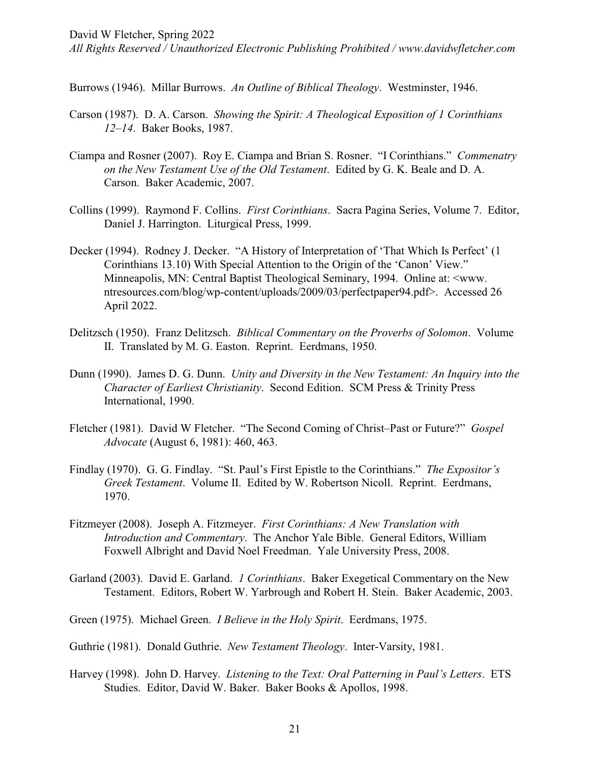Burrows (1946). Millar Burrows. *An Outline of Biblical Theology*. Westminster, 1946.

- Carson (1987). D. A. Carson. *Showing the Spirit: A Theological Exposition of 1 Corinthians 12–14*. Baker Books, 1987.
- Ciampa and Rosner (2007). Roy E. Ciampa and Brian S. Rosner. "I Corinthians." *Commenatry on the New Testament Use of the Old Testament*. Edited by G. K. Beale and D. A. Carson. Baker Academic, 2007.
- Collins (1999). Raymond F. Collins. *First Corinthians*. Sacra Pagina Series, Volume 7. Editor, Daniel J. Harrington. Liturgical Press, 1999.
- Decker (1994). Rodney J. Decker. "A History of Interpretation of 'That Which Is Perfect' (1 Corinthians 13.10) With Special Attention to the Origin of the 'Canon' View." Minneapolis, MN: Central Baptist Theological Seminary, 1994. Online at: <www. ntresources.com/blog/wp-content/uploads/2009/03/perfectpaper94.pdf>. Accessed 26 April 2022.
- Delitzsch (1950). Franz Delitzsch. *Biblical Commentary on the Proverbs of Solomon*. Volume II. Translated by M. G. Easton. Reprint. Eerdmans, 1950.
- Dunn (1990). James D. G. Dunn. *Unity and Diversity in the New Testament: An Inquiry into the Character of Earliest Christianity*. Second Edition. SCM Press & Trinity Press International, 1990.
- Fletcher (1981). David W Fletcher. "The Second Coming of Christ–Past or Future?" *Gospel Advocate* (August 6, 1981): 460, 463.
- Findlay (1970). G. G. Findlay. "St. Paul's First Epistle to the Corinthians." *The Expositor's Greek Testament*. Volume II. Edited by W. Robertson Nicoll. Reprint. Eerdmans, 1970.
- Fitzmeyer (2008). Joseph A. Fitzmeyer. *First Corinthians: A New Translation with Introduction and Commentary*. The Anchor Yale Bible. General Editors, William Foxwell Albright and David Noel Freedman. Yale University Press, 2008.
- Garland (2003). David E. Garland. *1 Corinthians*. Baker Exegetical Commentary on the New Testament. Editors, Robert W. Yarbrough and Robert H. Stein. Baker Academic, 2003.
- Green (1975). Michael Green. *I Believe in the Holy Spirit*. Eerdmans, 1975.
- Guthrie (1981). Donald Guthrie. *New Testament Theology*. Inter-Varsity, 1981.
- Harvey (1998). John D. Harvey. *Listening to the Text: Oral Patterning in Paul's Letters*. ETS Studies. Editor, David W. Baker. Baker Books & Apollos, 1998.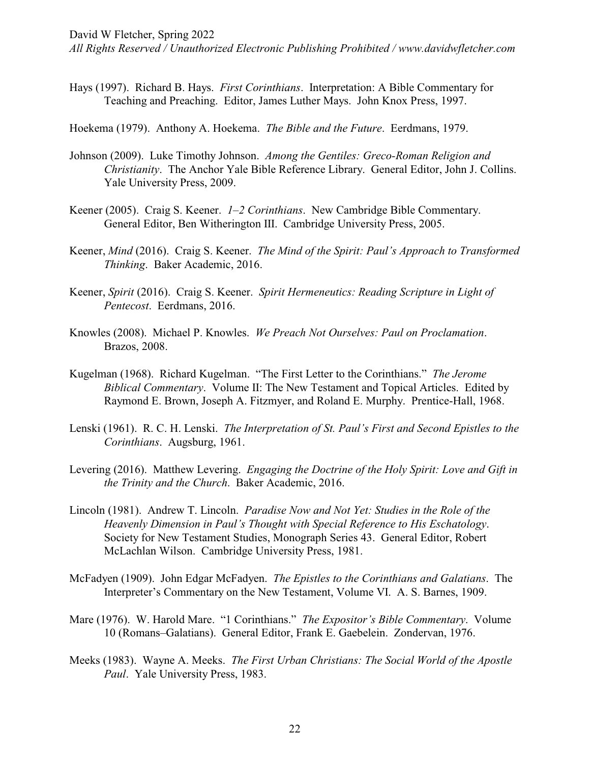Hays (1997). Richard B. Hays. *First Corinthians*. Interpretation: A Bible Commentary for Teaching and Preaching. Editor, James Luther Mays. John Knox Press, 1997.

Hoekema (1979). Anthony A. Hoekema. *The Bible and the Future*. Eerdmans, 1979.

- Johnson (2009). Luke Timothy Johnson. *Among the Gentiles: Greco-Roman Religion and Christianity*. The Anchor Yale Bible Reference Library. General Editor, John J. Collins. Yale University Press, 2009.
- Keener (2005). Craig S. Keener. *1–2 Corinthians*. New Cambridge Bible Commentary. General Editor, Ben Witherington III. Cambridge University Press, 2005.
- Keener, *Mind* (2016). Craig S. Keener. *The Mind of the Spirit: Paul's Approach to Transformed Thinking*. Baker Academic, 2016.
- Keener, *Spirit* (2016). Craig S. Keener. *Spirit Hermeneutics: Reading Scripture in Light of Pentecost*. Eerdmans, 2016.
- Knowles (2008). Michael P. Knowles. *We Preach Not Ourselves: Paul on Proclamation*. Brazos, 2008.
- Kugelman (1968). Richard Kugelman. "The First Letter to the Corinthians." *The Jerome Biblical Commentary*. Volume II: The New Testament and Topical Articles. Edited by Raymond E. Brown, Joseph A. Fitzmyer, and Roland E. Murphy. Prentice-Hall, 1968.
- Lenski (1961). R. C. H. Lenski. *The Interpretation of St. Paul's First and Second Epistles to the Corinthians*. Augsburg, 1961.
- Levering (2016). Matthew Levering. *Engaging the Doctrine of the Holy Spirit: Love and Gift in the Trinity and the Church*. Baker Academic, 2016.
- Lincoln (1981). Andrew T. Lincoln. *Paradise Now and Not Yet: Studies in the Role of the Heavenly Dimension in Paul's Thought with Special Reference to His Eschatology*. Society for New Testament Studies, Monograph Series 43. General Editor, Robert McLachlan Wilson. Cambridge University Press, 1981.
- McFadyen (1909). John Edgar McFadyen. *The Epistles to the Corinthians and Galatians*. The Interpreter's Commentary on the New Testament, Volume VI. A. S. Barnes, 1909.
- Mare (1976). W. Harold Mare. "1 Corinthians." *The Expositor's Bible Commentary*. Volume 10 (Romans–Galatians). General Editor, Frank E. Gaebelein. Zondervan, 1976.
- Meeks (1983). Wayne A. Meeks. *The First Urban Christians: The Social World of the Apostle Paul*. Yale University Press, 1983.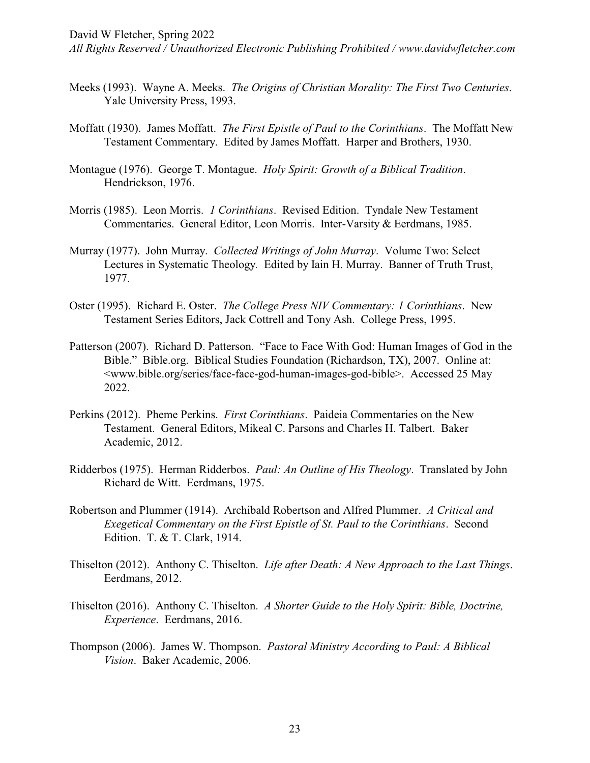- Meeks (1993). Wayne A. Meeks. *The Origins of Christian Morality: The First Two Centuries*. Yale University Press, 1993.
- Moffatt (1930). James Moffatt. *The First Epistle of Paul to the Corinthians*. The Moffatt New Testament Commentary. Edited by James Moffatt. Harper and Brothers, 1930.
- Montague (1976). George T. Montague. *Holy Spirit: Growth of a Biblical Tradition*. Hendrickson, 1976.
- Morris (1985). Leon Morris. *1 Corinthians*. Revised Edition. Tyndale New Testament Commentaries. General Editor, Leon Morris. Inter-Varsity & Eerdmans, 1985.
- Murray (1977). John Murray. *Collected Writings of John Murray*. Volume Two: Select Lectures in Systematic Theology*.* Edited by Iain H. Murray. Banner of Truth Trust, 1977.
- Oster (1995). Richard E. Oster. *The College Press NIV Commentary: 1 Corinthians*. New Testament Series Editors, Jack Cottrell and Tony Ash. College Press, 1995.
- Patterson (2007). Richard D. Patterson. "Face to Face With God: Human Images of God in the Bible." Bible.org. Biblical Studies Foundation (Richardson, TX), 2007. Online at: <www.bible.org/series/face-face-god-human-images-god-bible>. Accessed 25 May 2022.
- Perkins (2012). Pheme Perkins. *First Corinthians*. Paideia Commentaries on the New Testament. General Editors, Mikeal C. Parsons and Charles H. Talbert. Baker Academic, 2012.
- Ridderbos (1975). Herman Ridderbos. *Paul: An Outline of His Theology*. Translated by John Richard de Witt. Eerdmans, 1975.
- Robertson and Plummer (1914). Archibald Robertson and Alfred Plummer. *A Critical and Exegetical Commentary on the First Epistle of St. Paul to the Corinthians*. Second Edition. T. & T. Clark, 1914.
- Thiselton (2012). Anthony C. Thiselton. *Life after Death: A New Approach to the Last Things*. Eerdmans, 2012.
- Thiselton (2016). Anthony C. Thiselton. *A Shorter Guide to the Holy Spirit: Bible, Doctrine, Experience*. Eerdmans, 2016.
- Thompson (2006). James W. Thompson. *Pastoral Ministry According to Paul: A Biblical Vision*. Baker Academic, 2006.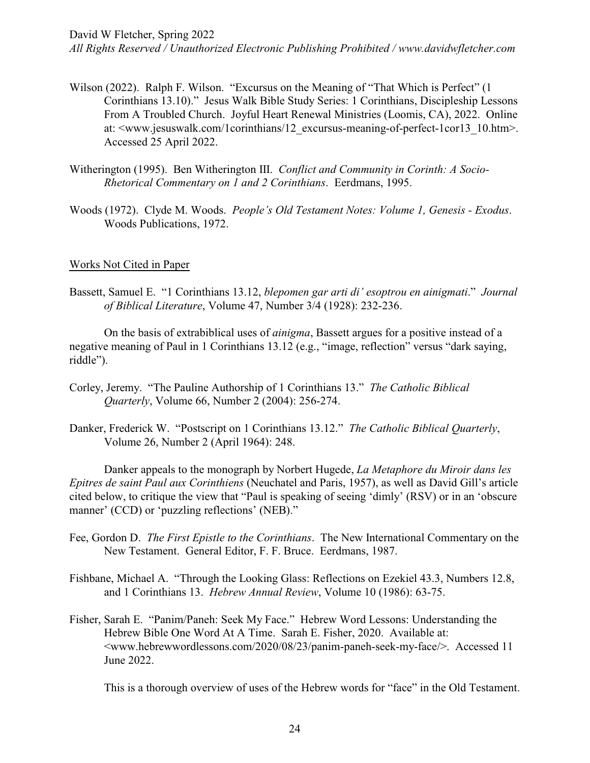- Wilson (2022). Ralph F. Wilson. "Excursus on the Meaning of "That Which is Perfect" (1 Corinthians 13.10)." Jesus Walk Bible Study Series: 1 Corinthians, Discipleship Lessons From A Troubled Church. Joyful Heart Renewal Ministries (Loomis, CA), 2022. Online at: <www.jesuswalk.com/1corinthians/12\_excursus-meaning-of-perfect-1cor13\_10.htm>. Accessed 25 April 2022.
- Witherington (1995). Ben Witherington III. *Conflict and Community in Corinth: A Socio-Rhetorical Commentary on 1 and 2 Corinthians*. Eerdmans, 1995.
- Woods (1972). Clyde M. Woods. *People's Old Testament Notes: Volume 1, Genesis Exodus*. Woods Publications, 1972.

### Works Not Cited in Paper

Bassett, Samuel E. "1 Corinthians 13.12, *blepomen gar arti di' esoptrou en ainigmati*." *Journal of Biblical Literature*, Volume 47, Number 3/4 (1928): 232-236.

On the basis of extrabiblical uses of *ainigma*, Bassett argues for a positive instead of a negative meaning of Paul in 1 Corinthians 13.12 (e.g., "image, reflection" versus "dark saying, riddle").

- Corley, Jeremy. "The Pauline Authorship of 1 Corinthians 13." *The Catholic Biblical Quarterly*, Volume 66, Number 2 (2004): 256-274.
- Danker, Frederick W. "Postscript on 1 Corinthians 13.12." *The Catholic Biblical Quarterly*, Volume 26, Number 2 (April 1964): 248.

Danker appeals to the monograph by Norbert Hugede, *La Metaphore du Miroir dans les Epitres de saint Paul aux Corinthiens* (Neuchatel and Paris, 1957), as well as David Gill's article cited below, to critique the view that "Paul is speaking of seeing 'dimly' (RSV) or in an 'obscure manner' (CCD) or 'puzzling reflections' (NEB)."

- Fee, Gordon D. *The First Epistle to the Corinthians*. The New International Commentary on the New Testament. General Editor, F. F. Bruce. Eerdmans, 1987.
- Fishbane, Michael A. "Through the Looking Glass: Reflections on Ezekiel 43.3, Numbers 12.8, and 1 Corinthians 13. *Hebrew Annual Review*, Volume 10 (1986): 63-75.
- Fisher, Sarah E. "Panim/Paneh: Seek My Face." Hebrew Word Lessons: Understanding the Hebrew Bible One Word At A Time. Sarah E. Fisher, 2020. Available at: <www.hebrewwordlessons.com/2020/08/23/panim-paneh-seek-my-face/>. Accessed 11 June 2022.

This is a thorough overview of uses of the Hebrew words for "face" in the Old Testament.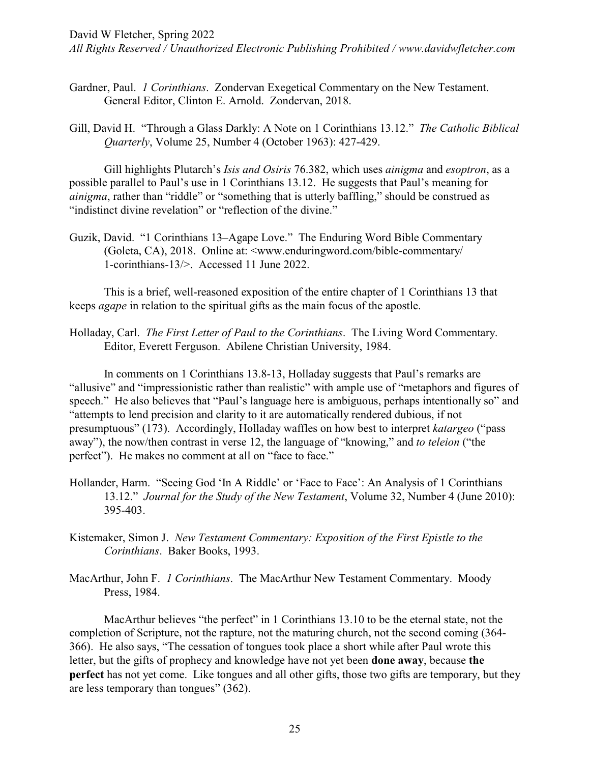- Gardner, Paul. *1 Corinthians*. Zondervan Exegetical Commentary on the New Testament. General Editor, Clinton E. Arnold. Zondervan, 2018.
- Gill, David H. "Through a Glass Darkly: A Note on 1 Corinthians 13.12." *The Catholic Biblical Quarterly*, Volume 25, Number 4 (October 1963): 427-429.

Gill highlights Plutarch's *Isis and Osiris* 76.382, which uses *ainigma* and *esoptron*, as a possible parallel to Paul's use in 1 Corinthians 13.12. He suggests that Paul's meaning for *ainigma*, rather than "riddle" or "something that is utterly baffling," should be construed as "indistinct divine revelation" or "reflection of the divine."

Guzik, David. "1 Corinthians 13–Agape Love." The Enduring Word Bible Commentary (Goleta, CA), 2018. Online at: <www.enduringword.com/bible-commentary/ 1-corinthians-13/>. Accessed 11 June 2022.

This is a brief, well-reasoned exposition of the entire chapter of 1 Corinthians 13 that keeps *agape* in relation to the spiritual gifts as the main focus of the apostle.

Holladay, Carl. *The First Letter of Paul to the Corinthians*. The Living Word Commentary. Editor, Everett Ferguson. Abilene Christian University, 1984.

In comments on 1 Corinthians 13.8-13, Holladay suggests that Paul's remarks are "allusive" and "impressionistic rather than realistic" with ample use of "metaphors and figures of speech." He also believes that "Paul's language here is ambiguous, perhaps intentionally so" and "attempts to lend precision and clarity to it are automatically rendered dubious, if not presumptuous" (173). Accordingly, Holladay waffles on how best to interpret *katargeo* ("pass away"), the now/then contrast in verse 12, the language of "knowing," and *to teleion* ("the perfect"). He makes no comment at all on "face to face."

- Hollander, Harm. "Seeing God 'In A Riddle' or 'Face to Face': An Analysis of 1 Corinthians 13.12." *Journal for the Study of the New Testament*, Volume 32, Number 4 (June 2010): 395-403.
- Kistemaker, Simon J. *New Testament Commentary: Exposition of the First Epistle to the Corinthians*. Baker Books, 1993.
- MacArthur, John F. *1 Corinthians*. The MacArthur New Testament Commentary. Moody Press, 1984.

MacArthur believes "the perfect" in 1 Corinthians 13.10 to be the eternal state, not the completion of Scripture, not the rapture, not the maturing church, not the second coming (364- 366). He also says, "The cessation of tongues took place a short while after Paul wrote this letter, but the gifts of prophecy and knowledge have not yet been **done away**, because **the perfect** has not yet come. Like tongues and all other gifts, those two gifts are temporary, but they are less temporary than tongues" (362).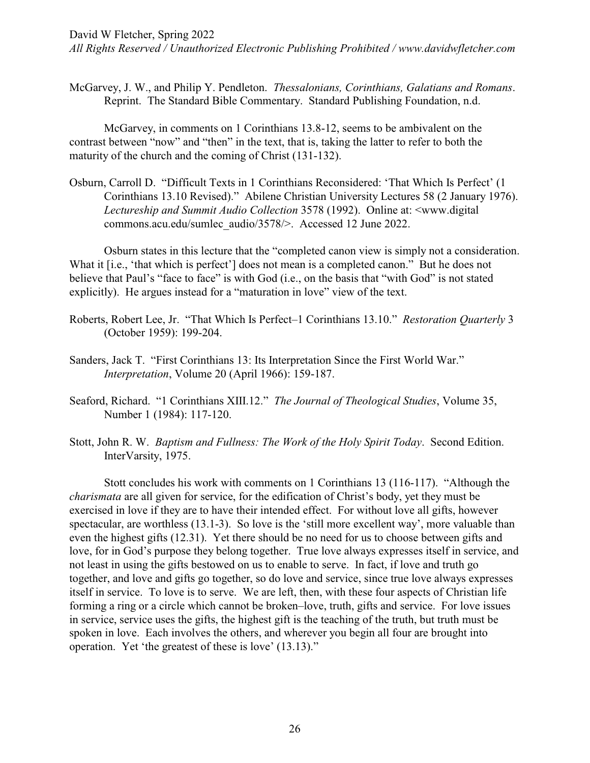McGarvey, J. W., and Philip Y. Pendleton. *Thessalonians, Corinthians, Galatians and Romans*. Reprint. The Standard Bible Commentary. Standard Publishing Foundation, n.d.

McGarvey, in comments on 1 Corinthians 13.8-12, seems to be ambivalent on the contrast between "now" and "then" in the text, that is, taking the latter to refer to both the maturity of the church and the coming of Christ (131-132).

Osburn, Carroll D. "Difficult Texts in 1 Corinthians Reconsidered: 'That Which Is Perfect' (1 Corinthians 13.10 Revised)." Abilene Christian University Lectures 58 (2 January 1976). *Lectureship and Summit Audio Collection* 3578 (1992). Online at: <www.digital commons.acu.edu/sumlec\_audio/3578/>. Accessed 12 June 2022.

Osburn states in this lecture that the "completed canon view is simply not a consideration. What it [i.e., 'that which is perfect'] does not mean is a completed canon." But he does not believe that Paul's "face to face" is with God (i.e., on the basis that "with God" is not stated explicitly). He argues instead for a "maturation in love" view of the text.

- Roberts, Robert Lee, Jr. "That Which Is Perfect–1 Corinthians 13.10." *Restoration Quarterly* 3 (October 1959): 199-204.
- Sanders, Jack T. "First Corinthians 13: Its Interpretation Since the First World War." *Interpretation*, Volume 20 (April 1966): 159-187.
- Seaford, Richard. "1 Corinthians XIII.12." *The Journal of Theological Studies*, Volume 35, Number 1 (1984): 117-120.
- Stott, John R. W. *Baptism and Fullness: The Work of the Holy Spirit Today*. Second Edition. InterVarsity, 1975.

Stott concludes his work with comments on 1 Corinthians 13 (116-117). "Although the *charismata* are all given for service, for the edification of Christ's body, yet they must be exercised in love if they are to have their intended effect. For without love all gifts, however spectacular, are worthless (13.1-3). So love is the 'still more excellent way', more valuable than even the highest gifts (12.31). Yet there should be no need for us to choose between gifts and love, for in God's purpose they belong together. True love always expresses itself in service, and not least in using the gifts bestowed on us to enable to serve. In fact, if love and truth go together, and love and gifts go together, so do love and service, since true love always expresses itself in service. To love is to serve. We are left, then, with these four aspects of Christian life forming a ring or a circle which cannot be broken–love, truth, gifts and service. For love issues in service, service uses the gifts, the highest gift is the teaching of the truth, but truth must be spoken in love. Each involves the others, and wherever you begin all four are brought into operation. Yet 'the greatest of these is love' (13.13)."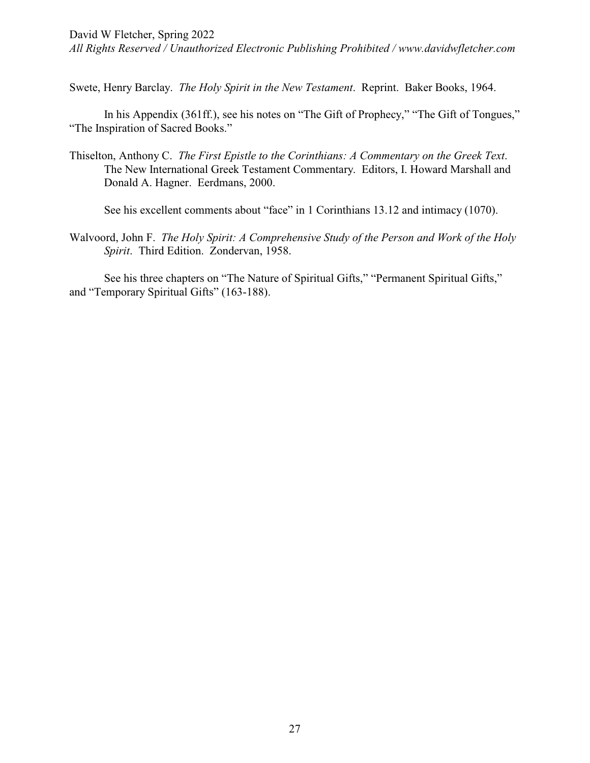Swete, Henry Barclay. *The Holy Spirit in the New Testament*. Reprint. Baker Books, 1964.

In his Appendix (361ff.), see his notes on "The Gift of Prophecy," "The Gift of Tongues," "The Inspiration of Sacred Books."

Thiselton, Anthony C. *The First Epistle to the Corinthians: A Commentary on the Greek Text*. The New International Greek Testament Commentary. Editors, I. Howard Marshall and Donald A. Hagner. Eerdmans, 2000.

See his excellent comments about "face" in 1 Corinthians 13.12 and intimacy (1070).

Walvoord, John F. *The Holy Spirit: A Comprehensive Study of the Person and Work of the Holy Spirit*. Third Edition. Zondervan, 1958.

See his three chapters on "The Nature of Spiritual Gifts," "Permanent Spiritual Gifts," and "Temporary Spiritual Gifts" (163-188).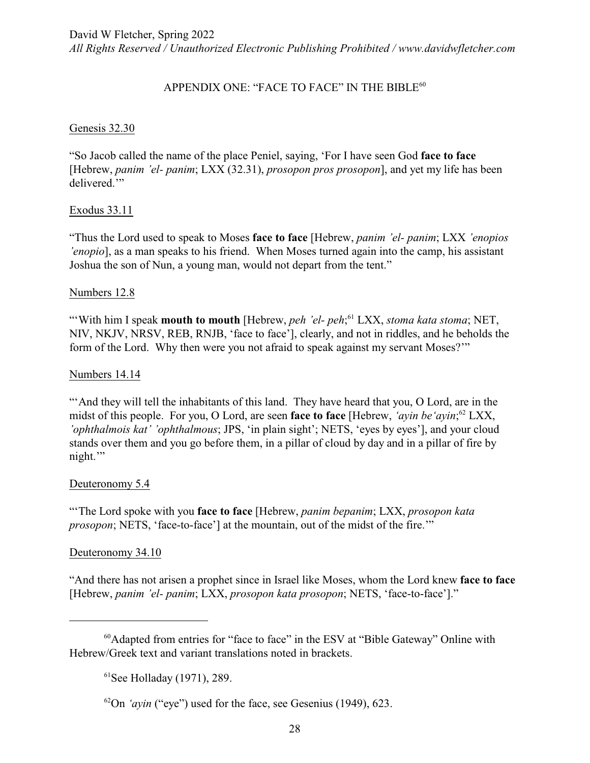# APPENDIX ONE: "FACE TO FACE" IN THE BIBLE $^{60}$

### Genesis 32.30

"So Jacob called the name of the place Peniel, saying, 'For I have seen God **face to face** [Hebrew, *panim 'el- panim*; LXX (32.31), *prosopon pros prosopon*], and yet my life has been delivered."

### Exodus 33.11

"Thus the Lord used to speak to Moses **face to face** [Hebrew, *panim 'el- panim*; LXX *'enopios 'enopio*], as a man speaks to his friend. When Moses turned again into the camp, his assistant Joshua the son of Nun, a young man, would not depart from the tent."

#### Numbers 12.8

"With him I speak **mouth to mouth** [Hebrew, *peh 'el- peh*;<sup>61</sup> LXX, *stoma kata stoma*; NET, NIV, NKJV, NRSV, REB, RNJB, 'face to face'], clearly, and not in riddles, and he beholds the form of the Lord. Why then were you not afraid to speak against my servant Moses?'"

### Numbers 14.14

"'And they will tell the inhabitants of this land. They have heard that you, O Lord, are in the midst of this people. For you, O Lord, are seen **face to face** [Hebrew, *'ayin be 'ayin*;<sup>62</sup> LXX, *'ophthalmois kat' 'ophthalmous*; JPS, 'in plain sight'; NETS, 'eyes by eyes'], and your cloud stands over them and you go before them, in a pillar of cloud by day and in a pillar of fire by night."

#### Deuteronomy 5.4

"'The Lord spoke with you **face to face** [Hebrew, *panim bepanim*; LXX, *prosopon kata prosopon*; NETS, 'face-to-face'] at the mountain, out of the midst of the fire.'"

### Deuteronomy 34.10

"And there has not arisen a prophet since in Israel like Moses, whom the Lord knew **face to face** [Hebrew, *panim 'el- panim*; LXX, *prosopon kata prosopon*; NETS, 'face-to-face']."

 $60$ Adapted from entries for "face to face" in the ESV at "Bible Gateway" Online with Hebrew/Greek text and variant translations noted in brackets.

 ${}^{61}$ See Holladay (1971), 289.

 $^{62}$ On '*ayin* ("eye") used for the face, see Gesenius (1949), 623.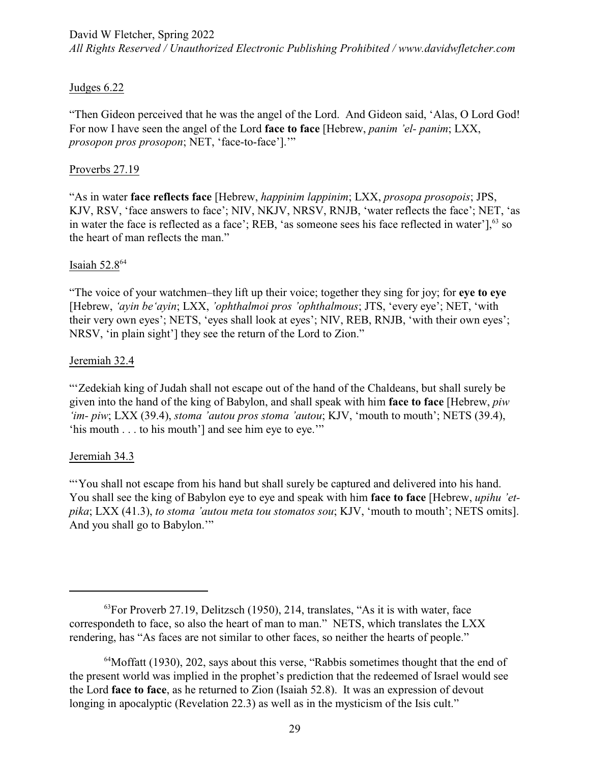# Judges 6.22

"Then Gideon perceived that he was the angel of the Lord. And Gideon said, 'Alas, O Lord God! For now I have seen the angel of the Lord **face to face** [Hebrew, *panim 'el- panim*; LXX, *prosopon pros prosopon*; NET, 'face-to-face'].'"

## Proverbs 27.19

"As in water **face reflects face** [Hebrew, *happinim lappinim*; LXX, *prosopa prosopois*; JPS, KJV, RSV, 'face answers to face'; NIV, NKJV, NRSV, RNJB, 'water reflects the face'; NET, 'as in water the face is reflected as a face'; REB, 'as someone sees his face reflected in water'],  $63$  so the heart of man reflects the man."

## Isaiah 52.8<sup>64</sup>

"The voice of your watchmen–they lift up their voice; together they sing for joy; for **eye to eye** [Hebrew, *'ayin be'ayin*; LXX, *'ophthalmoi pros 'ophthalmous*; JTS, 'every eye'; NET, 'with their very own eyes'; NETS, 'eyes shall look at eyes'; NIV, REB, RNJB, 'with their own eyes'; NRSV, 'in plain sight'] they see the return of the Lord to Zion."

## Jeremiah 32.4

"'Zedekiah king of Judah shall not escape out of the hand of the Chaldeans, but shall surely be given into the hand of the king of Babylon, and shall speak with him **face to face** [Hebrew, *piw 'im- piw*; LXX (39.4), *stoma 'autou pros stoma 'autou*; KJV, 'mouth to mouth'; NETS (39.4), 'his mouth . . . to his mouth'] and see him eye to eye.'"

# Jeremiah 34.3

"'You shall not escape from his hand but shall surely be captured and delivered into his hand. You shall see the king of Babylon eye to eye and speak with him **face to face** [Hebrew, *upihu 'etpika*; LXX (41.3), *to stoma 'autou meta tou stomatos sou*; KJV, 'mouth to mouth'; NETS omits]. And you shall go to Babylon.'"

 $^{63}$ For Proverb 27.19, Delitzsch (1950), 214, translates, "As it is with water, face correspondeth to face, so also the heart of man to man." NETS, which translates the LXX rendering, has "As faces are not similar to other faces, so neither the hearts of people."

 $64$ Moffatt (1930), 202, says about this verse, "Rabbis sometimes thought that the end of the present world was implied in the prophet's prediction that the redeemed of Israel would see the Lord **face to face**, as he returned to Zion (Isaiah 52.8). It was an expression of devout longing in apocalyptic (Revelation 22.3) as well as in the mysticism of the Isis cult."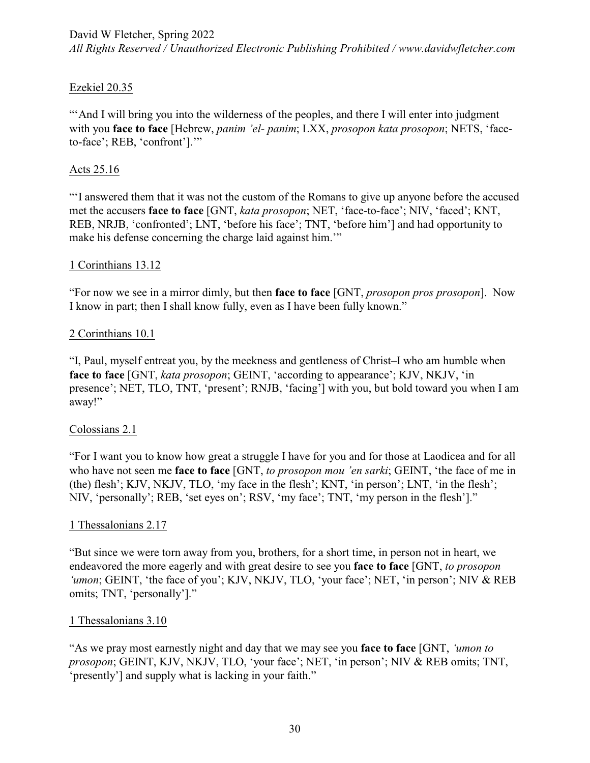# Ezekiel 20.35

"And I will bring you into the wilderness of the peoples, and there I will enter into judgment with you **face to face** [Hebrew, *panim 'el- panim*; LXX, *prosopon kata prosopon*; NETS, 'faceto-face'; REB, 'confront'].'"

# Acts 25.16

"'I answered them that it was not the custom of the Romans to give up anyone before the accused met the accusers **face to face** [GNT, *kata prosopon*; NET, 'face-to-face'; NIV, 'faced'; KNT, REB, NRJB, 'confronted'; LNT, 'before his face'; TNT, 'before him'] and had opportunity to make his defense concerning the charge laid against him."

# 1 Corinthians 13.12

"For now we see in a mirror dimly, but then **face to face** [GNT, *prosopon pros prosopon*]. Now I know in part; then I shall know fully, even as I have been fully known."

# 2 Corinthians 10.1

"I, Paul, myself entreat you, by the meekness and gentleness of Christ–I who am humble when **face to face** [GNT, *kata prosopon*; GEINT, 'according to appearance'; KJV, NKJV, 'in presence'; NET, TLO, TNT, 'present'; RNJB, 'facing'] with you, but bold toward you when I am away!"

# Colossians 2.1

"For I want you to know how great a struggle I have for you and for those at Laodicea and for all who have not seen me **face to face** [GNT, *to prosopon mou 'en sarki*; GEINT, 'the face of me in (the) flesh'; KJV, NKJV, TLO, 'my face in the flesh'; KNT, 'in person'; LNT, 'in the flesh'; NIV, 'personally'; REB, 'set eyes on'; RSV, 'my face'; TNT, 'my person in the flesh']."

# 1 Thessalonians 2.17

"But since we were torn away from you, brothers, for a short time, in person not in heart, we endeavored the more eagerly and with great desire to see you **face to face** [GNT, *to prosopon* 'umon; GEINT, 'the face of you'; KJV, NKJV, TLO, 'your face'; NET, 'in person'; NIV & REB omits; TNT, 'personally']."

# 1 Thessalonians 3.10

"As we pray most earnestly night and day that we may see you **face to face** [GNT, *'umon to prosopon*; GEINT, KJV, NKJV, TLO, 'your face'; NET, 'in person'; NIV & REB omits; TNT, 'presently'] and supply what is lacking in your faith."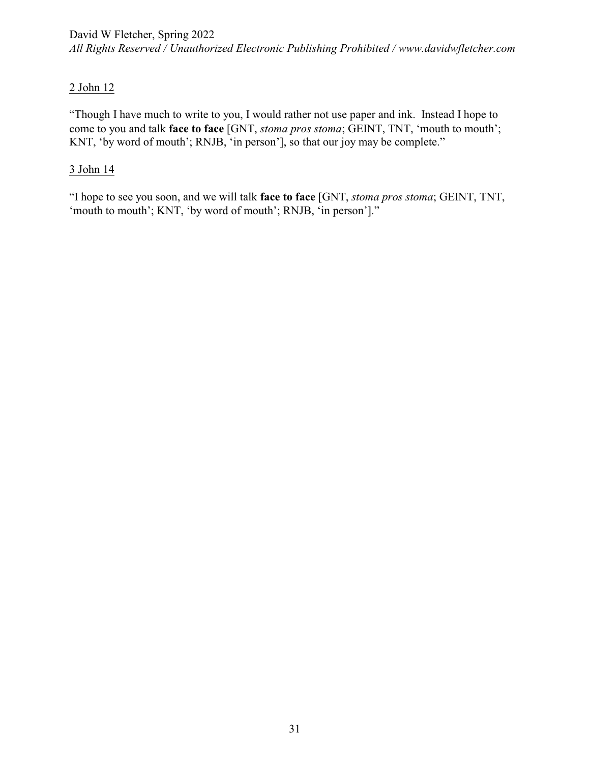# 2 John 12

"Though I have much to write to you, I would rather not use paper and ink. Instead I hope to come to you and talk **face to face** [GNT, *stoma pros stoma*; GEINT, TNT, 'mouth to mouth'; KNT, 'by word of mouth'; RNJB, 'in person'], so that our joy may be complete."

# 3 John 14

"I hope to see you soon, and we will talk **face to face** [GNT, *stoma pros stoma*; GEINT, TNT, 'mouth to mouth'; KNT, 'by word of mouth'; RNJB, 'in person']."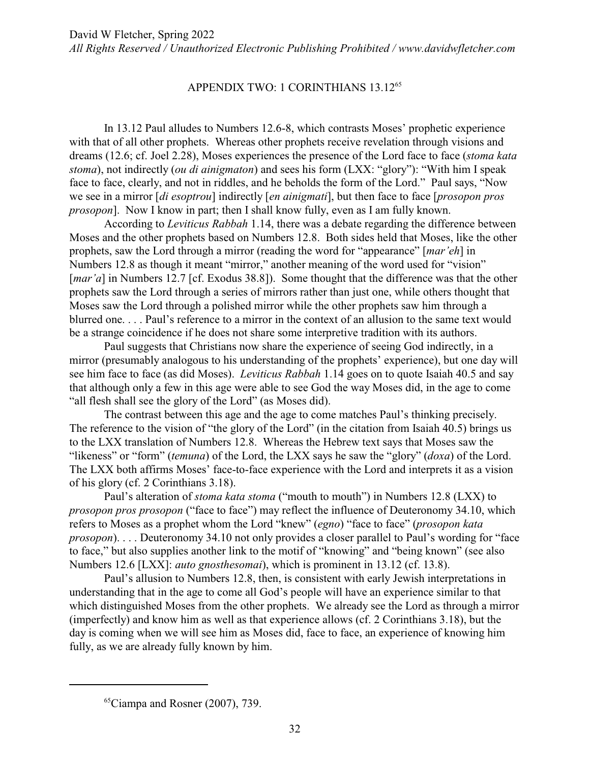### APPENDIX TWO: 1 CORINTHIANS 13.12<sup>65</sup>

In 13.12 Paul alludes to Numbers 12.6-8, which contrasts Moses' prophetic experience with that of all other prophets. Whereas other prophets receive revelation through visions and dreams (12.6; cf. Joel 2.28), Moses experiences the presence of the Lord face to face (*stoma kata stoma*), not indirectly (*ou di ainigmaton*) and sees his form (LXX: "glory"): "With him I speak face to face, clearly, and not in riddles, and he beholds the form of the Lord." Paul says, "Now we see in a mirror [*di esoptrou*] indirectly [*en ainigmati*], but then face to face [*prosopon pros prosopon*]. Now I know in part; then I shall know fully, even as I am fully known.

According to *Leviticus Rabbah* 1.14, there was a debate regarding the difference between Moses and the other prophets based on Numbers 12.8. Both sides held that Moses, like the other prophets, saw the Lord through a mirror (reading the word for "appearance" [*mar'eh*] in Numbers 12.8 as though it meant "mirror," another meaning of the word used for "vision" [*mar'a*] in Numbers 12.7 [cf. Exodus 38.8]). Some thought that the difference was that the other prophets saw the Lord through a series of mirrors rather than just one, while others thought that Moses saw the Lord through a polished mirror while the other prophets saw him through a blurred one. . . . Paul's reference to a mirror in the context of an allusion to the same text would be a strange coincidence if he does not share some interpretive tradition with its authors.

Paul suggests that Christians now share the experience of seeing God indirectly, in a mirror (presumably analogous to his understanding of the prophets' experience), but one day will see him face to face (as did Moses). *Leviticus Rabbah* 1.14 goes on to quote Isaiah 40.5 and say that although only a few in this age were able to see God the way Moses did, in the age to come "all flesh shall see the glory of the Lord" (as Moses did).

The contrast between this age and the age to come matches Paul's thinking precisely. The reference to the vision of "the glory of the Lord" (in the citation from Isaiah 40.5) brings us to the LXX translation of Numbers 12.8. Whereas the Hebrew text says that Moses saw the "likeness" or "form" (*temuna*) of the Lord, the LXX says he saw the "glory" (*doxa*) of the Lord. The LXX both affirms Moses' face-to-face experience with the Lord and interprets it as a vision of his glory (cf. 2 Corinthians 3.18).

Paul's alteration of *stoma kata stoma* ("mouth to mouth") in Numbers 12.8 (LXX) to *prosopon pros prosopon* ("face to face") may reflect the influence of Deuteronomy 34.10, which refers to Moses as a prophet whom the Lord "knew" (*egno*) "face to face" (*prosopon kata prosopon*). . . . Deuteronomy 34.10 not only provides a closer parallel to Paul's wording for "face to face," but also supplies another link to the motif of "knowing" and "being known" (see also Numbers 12.6 [LXX]: *auto gnosthesomai*), which is prominent in 13.12 (cf. 13.8).

Paul's allusion to Numbers 12.8, then, is consistent with early Jewish interpretations in understanding that in the age to come all God's people will have an experience similar to that which distinguished Moses from the other prophets. We already see the Lord as through a mirror (imperfectly) and know him as well as that experience allows (cf. 2 Corinthians 3.18), but the day is coming when we will see him as Moses did, face to face, an experience of knowing him fully, as we are already fully known by him.

 $<sup>65</sup>Ciampa$  and Rosner (2007), 739.</sup>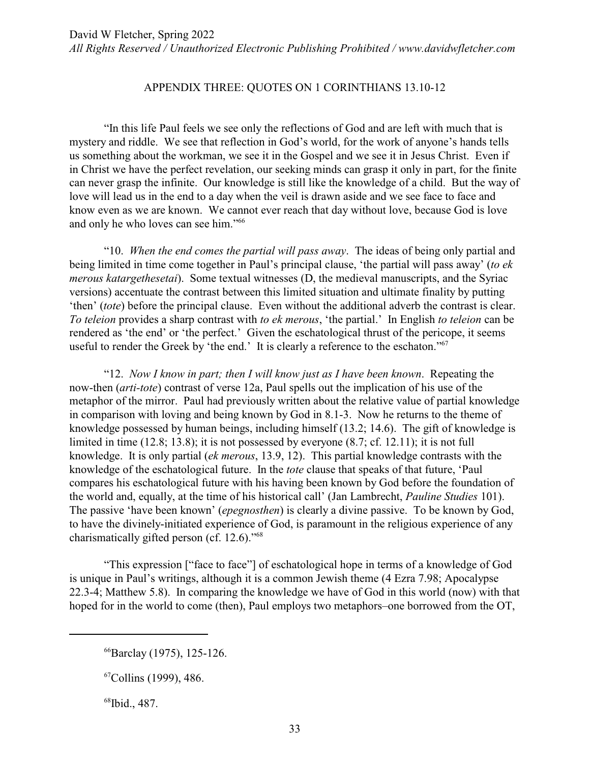### APPENDIX THREE: QUOTES ON 1 CORINTHIANS 13.10-12

"In this life Paul feels we see only the reflections of God and are left with much that is mystery and riddle. We see that reflection in God's world, for the work of anyone's hands tells us something about the workman, we see it in the Gospel and we see it in Jesus Christ. Even if in Christ we have the perfect revelation, our seeking minds can grasp it only in part, for the finite can never grasp the infinite. Our knowledge is still like the knowledge of a child. But the way of love will lead us in the end to a day when the veil is drawn aside and we see face to face and know even as we are known. We cannot ever reach that day without love, because God is love and only he who loves can see him."<sup>66</sup>

"10. *When the end comes the partial will pass away*. The ideas of being only partial and being limited in time come together in Paul's principal clause, 'the partial will pass away' (*to ek merous katargethesetai*). Some textual witnesses (D, the medieval manuscripts, and the Syriac versions) accentuate the contrast between this limited situation and ultimate finality by putting 'then' (*tote*) before the principal clause. Even without the additional adverb the contrast is clear. *To teleion* provides a sharp contrast with *to ek merous*, 'the partial.' In English *to teleion* can be rendered as 'the end' or 'the perfect.' Given the eschatological thrust of the pericope, it seems useful to render the Greek by 'the end.' It is clearly a reference to the eschaton."<sup>67</sup>

"12. *Now I know in part; then I will know just as I have been known*. Repeating the now-then (*arti-tote*) contrast of verse 12a, Paul spells out the implication of his use of the metaphor of the mirror. Paul had previously written about the relative value of partial knowledge in comparison with loving and being known by God in 8.1-3. Now he returns to the theme of knowledge possessed by human beings, including himself (13.2; 14.6). The gift of knowledge is limited in time (12.8; 13.8); it is not possessed by everyone (8.7; cf. 12.11); it is not full knowledge. It is only partial (*ek merous*, 13.9, 12). This partial knowledge contrasts with the knowledge of the eschatological future. In the *tote* clause that speaks of that future, 'Paul compares his eschatological future with his having been known by God before the foundation of the world and, equally, at the time of his historical call' (Jan Lambrecht, *Pauline Studies* 101). The passive 'have been known' (*epegnosthen*) is clearly a divine passive. To be known by God, to have the divinely-initiated experience of God, is paramount in the religious experience of any charismatically gifted person (cf. 12.6)."<sup>68</sup>

"This expression ["face to face"] of eschatological hope in terms of a knowledge of God is unique in Paul's writings, although it is a common Jewish theme (4 Ezra 7.98; Apocalypse 22.3-4; Matthew 5.8). In comparing the knowledge we have of God in this world (now) with that hoped for in the world to come (then), Paul employs two metaphors–one borrowed from the OT,

 $^{68}$ Ibid., 487.

<sup>&</sup>lt;sup>66</sup>Barclay (1975), 125-126.

 ${}^{67}$ Collins (1999), 486.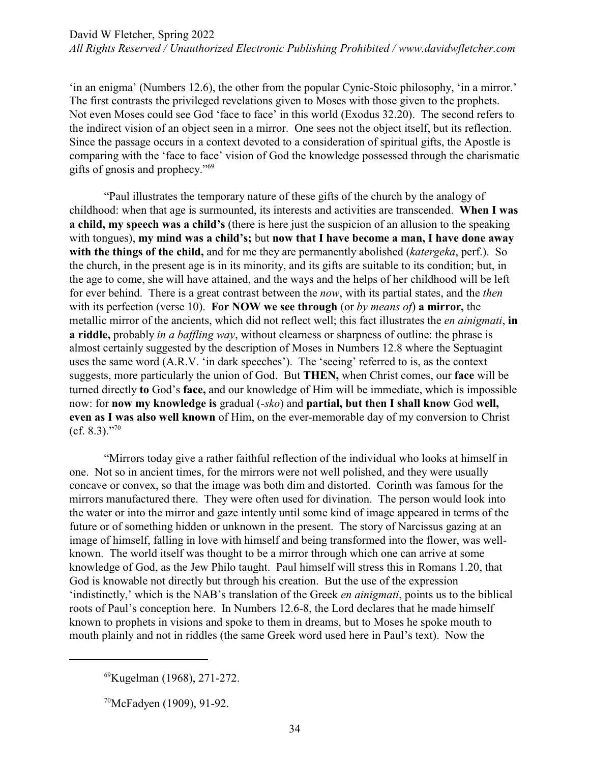'in an enigma' (Numbers 12.6), the other from the popular Cynic-Stoic philosophy, 'in a mirror.' The first contrasts the privileged revelations given to Moses with those given to the prophets. Not even Moses could see God 'face to face' in this world (Exodus 32.20). The second refers to the indirect vision of an object seen in a mirror. One sees not the object itself, but its reflection. Since the passage occurs in a context devoted to a consideration of spiritual gifts, the Apostle is comparing with the 'face to face' vision of God the knowledge possessed through the charismatic gifts of gnosis and prophecy."<sup>69</sup>

"Paul illustrates the temporary nature of these gifts of the church by the analogy of childhood: when that age is surmounted, its interests and activities are transcended. **When I was a child, my speech was a child's** (there is here just the suspicion of an allusion to the speaking with tongues), **my mind was a child's;** but **now that I have become a man, I have done away with the things of the child,** and for me they are permanently abolished (*katergeka*, perf.). So the church, in the present age is in its minority, and its gifts are suitable to its condition; but, in the age to come, she will have attained, and the ways and the helps of her childhood will be left for ever behind. There is a great contrast between the *now*, with its partial states, and the *then* with its perfection (verse 10). **For NOW we see through** (or *by means of*) **a mirror,** the metallic mirror of the ancients, which did not reflect well; this fact illustrates the *en ainigmati*, **in a riddle,** probably *in a baffling way*, without clearness or sharpness of outline: the phrase is almost certainly suggested by the description of Moses in Numbers 12.8 where the Septuagint uses the same word (A.R.V. 'in dark speeches'). The 'seeing' referred to is, as the context suggests, more particularly the union of God. But **THEN,** when Christ comes, our **face** will be turned directly **to** God's **face,** and our knowledge of Him will be immediate, which is impossible now: for **now my knowledge is** gradual (*-sko*) and **partial, but then I shall know** God **well, even as I was also well known** of Him, on the ever-memorable day of my conversion to Christ  $(cf. 8.3).$ "<sup>70</sup>

"Mirrors today give a rather faithful reflection of the individual who looks at himself in one. Not so in ancient times, for the mirrors were not well polished, and they were usually concave or convex, so that the image was both dim and distorted. Corinth was famous for the mirrors manufactured there. They were often used for divination. The person would look into the water or into the mirror and gaze intently until some kind of image appeared in terms of the future or of something hidden or unknown in the present. The story of Narcissus gazing at an image of himself, falling in love with himself and being transformed into the flower, was wellknown. The world itself was thought to be a mirror through which one can arrive at some knowledge of God, as the Jew Philo taught. Paul himself will stress this in Romans 1.20, that God is knowable not directly but through his creation. But the use of the expression 'indistinctly,' which is the NAB's translation of the Greek *en ainigmati*, points us to the biblical roots of Paul's conception here. In Numbers 12.6-8, the Lord declares that he made himself known to prophets in visions and spoke to them in dreams, but to Moses he spoke mouth to mouth plainly and not in riddles (the same Greek word used here in Paul's text). Now the

<sup>&</sup>lt;sup>69</sup>Kugelman (1968), 271-272.

 $^{70}$ McFadyen (1909), 91-92.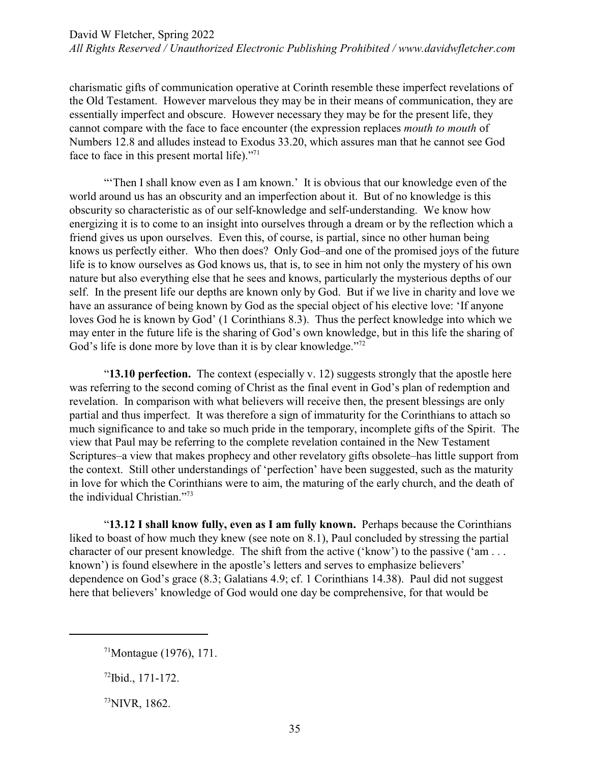charismatic gifts of communication operative at Corinth resemble these imperfect revelations of the Old Testament. However marvelous they may be in their means of communication, they are essentially imperfect and obscure. However necessary they may be for the present life, they cannot compare with the face to face encounter (the expression replaces *mouth to mouth* of Numbers 12.8 and alludes instead to Exodus 33.20, which assures man that he cannot see God face to face in this present mortal life)."<sup>71</sup>

"Then I shall know even as I am known.' It is obvious that our knowledge even of the world around us has an obscurity and an imperfection about it. But of no knowledge is this obscurity so characteristic as of our self-knowledge and self-understanding. We know how energizing it is to come to an insight into ourselves through a dream or by the reflection which a friend gives us upon ourselves. Even this, of course, is partial, since no other human being knows us perfectly either. Who then does? Only God–and one of the promised joys of the future life is to know ourselves as God knows us, that is, to see in him not only the mystery of his own nature but also everything else that he sees and knows, particularly the mysterious depths of our self. In the present life our depths are known only by God. But if we live in charity and love we have an assurance of being known by God as the special object of his elective love: 'If anyone loves God he is known by God' (1 Corinthians 8.3). Thus the perfect knowledge into which we may enter in the future life is the sharing of God's own knowledge, but in this life the sharing of God's life is done more by love than it is by clear knowledge."<sup>72</sup>

"**13.10 perfection.** The context (especially v. 12) suggests strongly that the apostle here was referring to the second coming of Christ as the final event in God's plan of redemption and revelation. In comparison with what believers will receive then, the present blessings are only partial and thus imperfect. It was therefore a sign of immaturity for the Corinthians to attach so much significance to and take so much pride in the temporary, incomplete gifts of the Spirit. The view that Paul may be referring to the complete revelation contained in the New Testament Scriptures–a view that makes prophecy and other revelatory gifts obsolete–has little support from the context. Still other understandings of 'perfection' have been suggested, such as the maturity in love for which the Corinthians were to aim, the maturing of the early church, and the death of the individual Christian."<sup>73</sup>

"**13.12 I shall know fully, even as I am fully known.** Perhaps because the Corinthians liked to boast of how much they knew (see note on 8.1), Paul concluded by stressing the partial character of our present knowledge. The shift from the active ('know') to the passive ('am . . . known') is found elsewhere in the apostle's letters and serves to emphasize believers' dependence on God's grace (8.3; Galatians 4.9; cf. 1 Corinthians 14.38). Paul did not suggest here that believers' knowledge of God would one day be comprehensive, for that would be

 $^{71}$ Montague (1976), 171.

 $^{72}$ Ibid., 171-172.

 $^{73}$ NIVR, 1862.